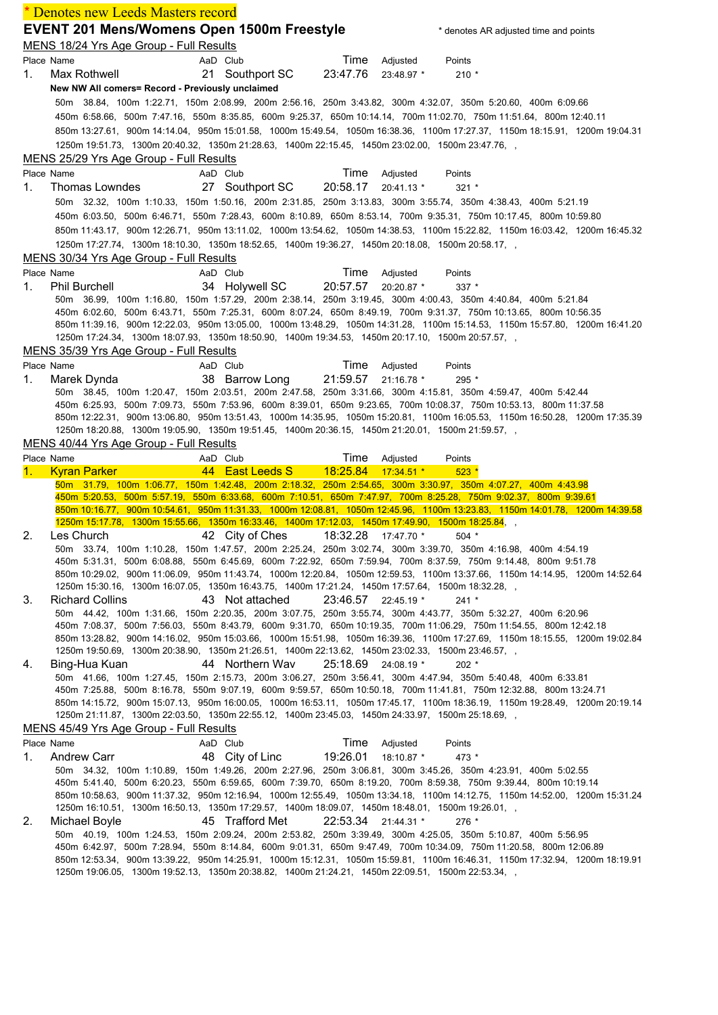|    | Denotes new Leeds Masters record                                                                                |          |                 |                     |            |                                                                                                                                                                                                                                                   |
|----|-----------------------------------------------------------------------------------------------------------------|----------|-----------------|---------------------|------------|---------------------------------------------------------------------------------------------------------------------------------------------------------------------------------------------------------------------------------------------------|
|    | <b>EVENT 201 Mens/Womens Open 1500m Freestyle</b><br>MENS 18/24 Yrs Age Group - Full Results                    |          |                 |                     |            | * denotes AR adjusted time and points                                                                                                                                                                                                             |
|    | Place Name                                                                                                      | AaD Club |                 | Time                | Adjusted   | Points                                                                                                                                                                                                                                            |
| 1. | Max Rothwell                                                                                                    |          | 21 Southport SC | 23:47.76            | 23:48.97 * | $210*$                                                                                                                                                                                                                                            |
|    | New NW All comers= Record - Previously unclaimed                                                                |          |                 |                     |            |                                                                                                                                                                                                                                                   |
|    |                                                                                                                 |          |                 |                     |            | 50m 38.84, 100m 1:22.71, 150m 2:08.99, 200m 2:56.16, 250m 3:43.82, 300m 4:32.07, 350m 5:20.60, 400m 6:09.66                                                                                                                                       |
|    |                                                                                                                 |          |                 |                     |            | 450m 6:58.66, 500m 7:47.16, 550m 8:35.85, 600m 9:25.37, 650m 10:14.14, 700m 11:02.70, 750m 11:51.64, 800m 12:40.11                                                                                                                                |
|    |                                                                                                                 |          |                 |                     |            | 850m 13:27.61, 900m 14:14.04, 950m 15:01.58, 1000m 15:49.54, 1050m 16:38.36, 1100m 17:27.37, 1150m 18:15.91, 1200m 19:04.31                                                                                                                       |
|    | 1250m 19:51.73, 1300m 20:40.32, 1350m 21:28.63, 1400m 22:15.45, 1450m 23:02.00, 1500m 23:47.76, ,               |          |                 |                     |            |                                                                                                                                                                                                                                                   |
|    | MENS 25/29 Yrs Age Group - Full Results                                                                         |          |                 |                     |            |                                                                                                                                                                                                                                                   |
|    | Place Name                                                                                                      | AaD Club |                 | Time                | Adjusted   | Points                                                                                                                                                                                                                                            |
| 1. | Thomas Lowndes                                                                                                  |          | 27 Southport SC | 20:58.17 20:41.13 * |            | $321 *$                                                                                                                                                                                                                                           |
|    |                                                                                                                 |          |                 |                     |            | 50m 32.32, 100m 1:10.33, 150m 1:50.16, 200m 2:31.85, 250m 3:13.83, 300m 3:55.74, 350m 4:38.43, 400m 5:21.19                                                                                                                                       |
|    |                                                                                                                 |          |                 |                     |            | 450m 6:03.50, 500m 6:46.71, 550m 7:28.43, 600m 8:10.89, 650m 8:53.14, 700m 9:35.31, 750m 10:17.45, 800m 10:59.80                                                                                                                                  |
|    |                                                                                                                 |          |                 |                     |            | 850m 11:43.17, 900m 12:26.71, 950m 13:11.02, 1000m 13:54.62, 1050m 14:38.53, 1100m 15:22.82, 1150m 16:03.42, 1200m 16:45.32                                                                                                                       |
|    | 1250m 17:27.74, 1300m 18:10.30, 1350m 18:52.65, 1400m 19:36.27, 1450m 20:18.08, 1500m 20:58.17,                 |          |                 |                     |            |                                                                                                                                                                                                                                                   |
|    | MENS 30/34 Yrs Age Group - Full Results                                                                         |          |                 |                     |            |                                                                                                                                                                                                                                                   |
|    | Place Name                                                                                                      | AaD Club |                 | Time                | Adjusted   | Points                                                                                                                                                                                                                                            |
| 1. | <b>Phil Burchell</b>                                                                                            |          | 34 Holywell SC  | 20:57.57            | 20:20.87 * | $337 *$                                                                                                                                                                                                                                           |
|    |                                                                                                                 |          |                 |                     |            | 50m 36.99, 100m 1:16.80, 150m 1:57.29, 200m 2:38.14, 250m 3:19.45, 300m 4:00.43, 350m 4:40.84, 400m 5:21.84                                                                                                                                       |
|    |                                                                                                                 |          |                 |                     |            | 450m 6:02.60, 500m 6:43.71, 550m 7:25.31, 600m 8:07.24, 650m 8:49.19, 700m 9:31.37, 750m 10:13.65, 800m 10:56.35<br>850m 11:39.16, 900m 12:22.03, 950m 13:05.00, 1000m 13:48.29, 1050m 14:31.28, 1100m 15:14.53, 1150m 15:57.80, 1200m 16:41.20   |
|    | 1250m 17:24.34, 1300m 18:07.93, 1350m 18:50.90, 1400m 19:34.53, 1450m 20:17.10, 1500m 20:57.57, ,               |          |                 |                     |            |                                                                                                                                                                                                                                                   |
|    | MENS 35/39 Yrs Age Group - Full Results                                                                         |          |                 |                     |            |                                                                                                                                                                                                                                                   |
|    | Place Name                                                                                                      | AaD Club |                 | Time                | Adjusted   | Points                                                                                                                                                                                                                                            |
| 1. | Marek Dynda                                                                                                     |          | 38 Barrow Long  | 21:59.57            | 21:16.78 * | 295 *                                                                                                                                                                                                                                             |
|    |                                                                                                                 |          |                 |                     |            | 50m 38.45, 100m 1:20.47, 150m 2:03.51, 200m 2:47.58, 250m 3:31.66, 300m 4:15.81, 350m 4:59.47, 400m 5:42.44                                                                                                                                       |
|    |                                                                                                                 |          |                 |                     |            | 450m 6:25.93, 500m 7:09.73, 550m 7:53.96, 600m 8:39.01, 650m 9:23.65, 700m 10:08.37, 750m 10:53.13, 800m 11:37.58                                                                                                                                 |
|    |                                                                                                                 |          |                 |                     |            | 850m 12:22.31, 900m 13:06.80, 950m 13:51.43, 1000m 14:35.95, 1050m 15:20.81, 1100m 16:05.53, 1150m 16:50.28, 1200m 17:35.39                                                                                                                       |
|    | , 1250m 18:20.88, 1300m 19:05.90, 1350m 19:51.45, 1400m 20:36.15, 1450m 21:20.01, 1500m 21:59.57,               |          |                 |                     |            |                                                                                                                                                                                                                                                   |
|    |                                                                                                                 |          |                 |                     |            |                                                                                                                                                                                                                                                   |
|    | MENS 40/44 Yrs Age Group - Full Results                                                                         |          |                 |                     |            |                                                                                                                                                                                                                                                   |
|    | Place Name                                                                                                      | AaD Club |                 | Time                | Adjusted   | Points                                                                                                                                                                                                                                            |
| 1. | <b>Kyran Parker</b>                                                                                             |          | 44 East Leeds S | 18:25.84 17:34.51 * |            | $523*$                                                                                                                                                                                                                                            |
|    |                                                                                                                 |          |                 |                     |            | 50m 31.79, 100m 1:06.77, 150m 1:42.48, 200m 2:18.32, 250m 2:54.65, 300m 3:30.97, 350m 4:07.27, 400m 4:43.98<br>450m 5:20.53, 500m 5:57.19, 550m 6:33.68, 600m 7:10.51, 650m 7:47.97, 700m 8:25.28, 750m 9:02.37, 800m 9:39.61                     |
|    |                                                                                                                 |          |                 |                     |            | 850m 10:16.77, 900m 10:54.61, 950m 11:31.33, 1000m 12:08.81, 1050m 12:45.96, 1100m 13:23.83, 1150m 14:01.78, 1200m 14:39.58                                                                                                                       |
| 2. | 1250m 15:17.78, 1300m 15:55.66, 1350m 16:33.46, 1400m 17:12.03, 1450m 17:49.90, 1500m 18:25.84, ,<br>Les Church |          | 42 City of Ches | 18:32.28 17:47.70 * |            | $504$ *                                                                                                                                                                                                                                           |
|    |                                                                                                                 |          |                 |                     |            | 50m 33.74, 100m 1:10.28, 150m 1:47.57, 200m 2:25.24, 250m 3:02.74, 300m 3:39.70, 350m 4:16.98, 400m 4:54.19                                                                                                                                       |
|    |                                                                                                                 |          |                 |                     |            | 450m 5:31.31, 500m 6:08.88, 550m 6:45.69, 600m 7:22.92, 650m 7:59.94, 700m 8:37.59, 750m 9:14.48, 800m 9:51.78                                                                                                                                    |
|    |                                                                                                                 |          |                 |                     |            | 850m 10:29.02, 900m 11:06.09, 950m 11:43.74, 1000m 12:20.84, 1050m 12:59.53, 1100m 13:37.66, 1150m 14:14.95, 1200m 14:52.64                                                                                                                       |
|    | 1250m 15:30.16, 1300m 16:07.05, 1350m 16:43.75, 1400m 17:21.24, 1450m 17:57.64, 1500m 18:32.28, ,               |          |                 |                     |            |                                                                                                                                                                                                                                                   |
| 3. | <b>Richard Collins</b>                                                                                          |          | 43 Not attached | 23:46.57 22:45.19 * |            | $241 *$                                                                                                                                                                                                                                           |
|    |                                                                                                                 |          |                 |                     |            | 50m 44.42, 100m 1:31.66, 150m 2:20.35, 200m 3:07.75, 250m 3:55.74, 300m 4:43.77, 350m 5:32.27, 400m 6:20.96                                                                                                                                       |
|    |                                                                                                                 |          |                 |                     |            | 450m 7:08.37, 500m 7:56.03, 550m 8:43.79, 600m 9:31.70, 650m 10:19.35, 700m 11:06.29, 750m 11:54.55, 800m 12:42.18<br>850m 13:28.82, 900m 14:16.02, 950m 15:03.66, 1000m 15:51.98, 1050m 16:39.36, 1100m 17:27.69, 1150m 18:15.55, 1200m 19:02.84 |
|    | 1250m 19:50.69, 1300m 20:38.90, 1350m 21:26.51, 1400m 22:13.62, 1450m 23:02.33, 1500m 23:46.57,                 |          |                 |                     |            |                                                                                                                                                                                                                                                   |
| 4. | Bing-Hua Kuan                                                                                                   |          | 44 Northern Wav | 25:18.69 24:08.19 * |            | $202 *$                                                                                                                                                                                                                                           |
|    |                                                                                                                 |          |                 |                     |            | 50m 41.66, 100m 1:27.45, 150m 2:15.73, 200m 3:06.27, 250m 3:56.41, 300m 4:47.94, 350m 5:40.48, 400m 6:33.81                                                                                                                                       |
|    |                                                                                                                 |          |                 |                     |            | 450m 7:25.88, 500m 8:16.78, 550m 9:07.19, 600m 9:59.57, 650m 10:50.18, 700m 11:41.81, 750m 12:32.88, 800m 13:24.71                                                                                                                                |
|    |                                                                                                                 |          |                 |                     |            | 850m 14:15.72, 900m 15:07.13, 950m 16:00.05, 1000m 16:53.11, 1050m 17:45.17, 1100m 18:36.19, 1150m 19:28.49, 1200m 20:19.14                                                                                                                       |
|    | 1250m 21:11.87, 1300m 22:03.50, 1350m 22:55.12, 1400m 23:45.03, 1450m 24:33.97, 1500m 25:18.69, ,               |          |                 |                     |            |                                                                                                                                                                                                                                                   |
|    | MENS 45/49 Yrs Age Group - Full Results                                                                         |          |                 |                     |            |                                                                                                                                                                                                                                                   |
|    | Place Name                                                                                                      | AaD Club |                 | Time                | Adjusted   | Points                                                                                                                                                                                                                                            |
| 1. | <b>Andrew Carr</b>                                                                                              |          | 48 City of Linc | 19:26.01            | 18:10.87 * | 473 *                                                                                                                                                                                                                                             |
|    |                                                                                                                 |          |                 |                     |            | 50m 34.32, 100m 1:10.89, 150m 1:49.26, 200m 2:27.96, 250m 3:06.81, 300m 3:45.26, 350m 4:23.91, 400m 5:02.55<br>450m 5:41.40, 500m 6:20.23, 550m 6:59.65, 600m 7:39.70, 650m 8:19.20, 700m 8:59.38, 750m 9:39.44, 800m 10:19.14                    |
|    |                                                                                                                 |          |                 |                     |            | 850m 10:58.63, 900m 11:37.32, 950m 12:16.94, 1000m 12:55.49, 1050m 13:34.18, 1100m 14:12.75, 1150m 14:52.00, 1200m 15:31.24                                                                                                                       |
|    | 1250m 16:10.51, 1300m 16:50.13, 1350m 17:29.57, 1400m 18:09.07, 1450m 18:48.01, 1500m 19:26.01, ,               |          |                 |                     |            |                                                                                                                                                                                                                                                   |
| 2. | Michael Boyle                                                                                                   |          | 45 Trafford Met | 22:53.34 21:44.31 * |            | 276 *                                                                                                                                                                                                                                             |
|    |                                                                                                                 |          |                 |                     |            | 50m 40.19, 100m 1:24.53, 150m 2:09.24, 200m 2:53.82, 250m 3:39.49, 300m 4:25.05, 350m 5:10.87, 400m 5:56.95                                                                                                                                       |
|    |                                                                                                                 |          |                 |                     |            | 450m 6:42.97, 500m 7:28.94, 550m 8:14.84, 600m 9:01.31, 650m 9:47.49, 700m 10:34.09, 750m 11:20.58, 800m 12:06.89<br>850m 12:53.34, 900m 13:39.22, 950m 14:25.91, 1000m 15:12.31, 1050m 15:59.81, 1100m 16:46.31, 1150m 17:32.94, 1200m 18:19.91  |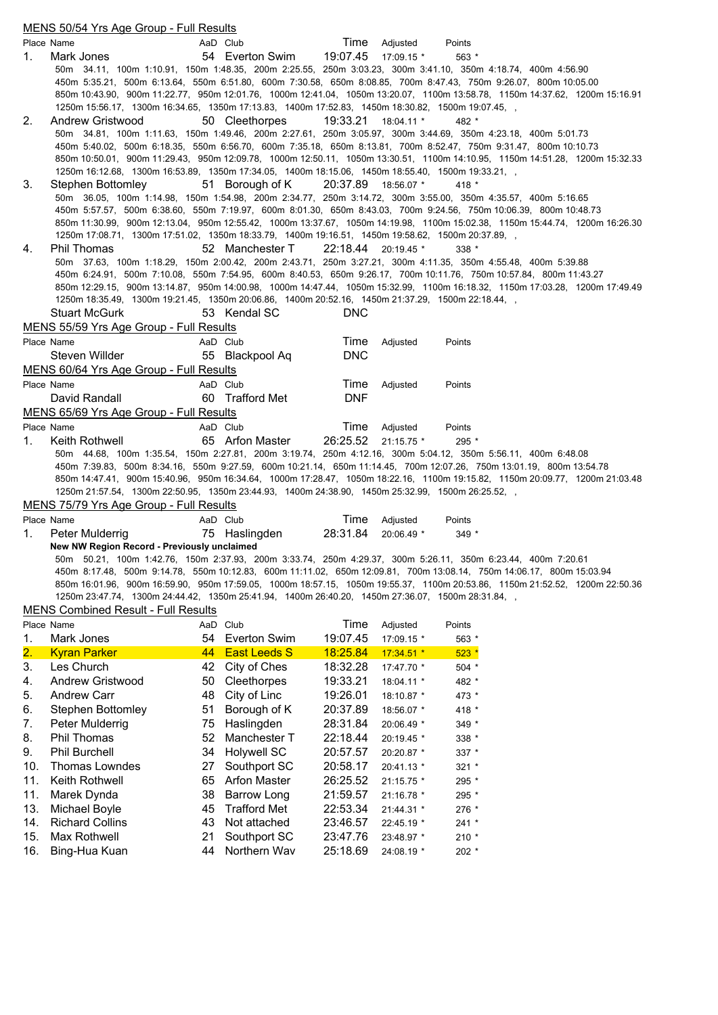|     | <u>MENS 50/54 Yrs Age Group - Full Results</u>                                                    |    |                           |                     |                             |                                                                                                                                                                                                                                  |  |
|-----|---------------------------------------------------------------------------------------------------|----|---------------------------|---------------------|-----------------------------|----------------------------------------------------------------------------------------------------------------------------------------------------------------------------------------------------------------------------------|--|
|     | Place Name                                                                                        |    | AaD Club                  |                     | Time Adjusted               | Points                                                                                                                                                                                                                           |  |
| 1.  | Mark Jones                                                                                        |    | 54 Everton Swim           | 19:07.45 17:09.15 * |                             | 563 *                                                                                                                                                                                                                            |  |
|     |                                                                                                   |    |                           |                     |                             | 50m 34.11, 100m 1:10.91, 150m 1:48.35, 200m 2:25.55, 250m 3:03.23, 300m 3:41.10, 350m 4:18.74, 400m 4:56.90                                                                                                                      |  |
|     |                                                                                                   |    |                           |                     |                             | 450m 5:35.21, 500m 6:13.64, 550m 6:51.80, 600m 7:30.58, 650m 8:08.85, 700m 8:47.43, 750m 9:26.07, 800m 10:05.00                                                                                                                  |  |
|     |                                                                                                   |    |                           |                     |                             | 850m 10:43.90, 900m 11:22.77, 950m 12:01.76, 1000m 12:41.04, 1050m 13:20.07, 1100m 13:58.78, 1150m 14:37.62, 1200m 15:16.91                                                                                                      |  |
|     | 1250m 15:56.17, 1300m 16:34.65, 1350m 17:13.83, 1400m 17:52.83, 1450m 18:30.82, 1500m 19:07.45, , |    |                           |                     |                             |                                                                                                                                                                                                                                  |  |
| 2.  | Andrew Gristwood                                                                                  |    | 50 Cleethorpes            | 19:33.21 18:04.11 * |                             | 482 *                                                                                                                                                                                                                            |  |
|     |                                                                                                   |    |                           |                     |                             | 50m 34.81, 100m 1:11.63, 150m 1:49.46, 200m 2:27.61, 250m 3:05.97, 300m 3:44.69, 350m 4:23.18, 400m 5:01.73<br>450m 5:40.02, 500m 6:18.35, 550m 6:56.70, 600m 7:35.18, 650m 8:13.81, 700m 8:52.47, 750m 9:31.47, 800m 10:10.73   |  |
|     |                                                                                                   |    |                           |                     |                             | 850m 10:50.01, 900m 11:29.43, 950m 12:09.78, 1000m 12:50.11, 1050m 13:30.51, 1100m 14:10.95, 1150m 14:51.28, 1200m 15:32.33                                                                                                      |  |
|     | 1250m 16:12.68, 1300m 16:53.89, 1350m 17:34.05, 1400m 18:15.06, 1450m 18:55.40, 1500m 19:33.21, , |    |                           |                     |                             |                                                                                                                                                                                                                                  |  |
| 3.  | Stephen Bottomley                                                                                 |    | 51 Borough of K           | 20:37.89 18:56.07 * |                             | 418 *                                                                                                                                                                                                                            |  |
|     |                                                                                                   |    |                           |                     |                             | 50m 36.05, 100m 1:14.98, 150m 1:54.98, 200m 2:34.77, 250m 3:14.72, 300m 3:55.00, 350m 4:35.57, 400m 5:16.65                                                                                                                      |  |
|     |                                                                                                   |    |                           |                     |                             | 450m 5:57.57, 500m 6:38.60, 550m 7:19.97, 600m 8:01.30, 650m 8:43.03, 700m 9:24.56, 750m 10:06.39, 800m 10:48.73                                                                                                                 |  |
|     |                                                                                                   |    |                           |                     |                             | 850m 11:30.99, 900m 12:13.04, 950m 12:55.42, 1000m 13:37.67, 1050m 14:19.98, 1100m 15:02.38, 1150m 15:44.74, 1200m 16:26.30                                                                                                      |  |
|     | 1250m 17:08.71, 1300m 17:51.02, 1350m 18:33.79, 1400m 19:16.51, 1450m 19:58.62, 1500m 20:37.89, , |    |                           |                     |                             |                                                                                                                                                                                                                                  |  |
| 4.  | Phil Thomas                                                                                       |    | 52 Manchester T           | 22:18.44 20:19.45 * |                             | $338*$                                                                                                                                                                                                                           |  |
|     |                                                                                                   |    |                           |                     |                             | 50m 37.63, 100m 1:18.29, 150m 2:00.42, 200m 2:43.71, 250m 3:27.21, 300m 4:11.35, 350m 4:55.48, 400m 5:39.88<br>450m 6:24.91, 500m 7:10.08, 550m 7:54.95, 600m 8:40.53, 650m 9:26.17, 700m 10:11.76, 750m 10:57.84, 800m 11:43.27 |  |
|     |                                                                                                   |    |                           |                     |                             | 850m 12:29.15, 900m 13:14.87, 950m 14:00.98, 1000m 14:47.44, 1050m 15:32.99, 1100m 16:18.32, 1150m 17:03.28, 1200m 17:49.49                                                                                                      |  |
|     | 1250m 18:35.49, 1300m 19:21.45, 1350m 20:06.86, 1400m 20:52.16, 1450m 21:37.29, 1500m 22:18.44,   |    |                           |                     |                             |                                                                                                                                                                                                                                  |  |
|     | <b>Stuart McGurk</b>                                                                              |    | 53 Kendal SC              | <b>DNC</b>          |                             |                                                                                                                                                                                                                                  |  |
|     | MENS 55/59 Yrs Age Group - Full Results                                                           |    |                           |                     |                             |                                                                                                                                                                                                                                  |  |
|     | Place Name                                                                                        |    | AaD Club                  | Time                | Adjusted                    | Points                                                                                                                                                                                                                           |  |
|     | Steven Willder                                                                                    |    | 55 Blackpool Aq           | <b>DNC</b>          |                             |                                                                                                                                                                                                                                  |  |
|     | MENS 60/64 Yrs Age Group - Full Results                                                           |    |                           |                     |                             |                                                                                                                                                                                                                                  |  |
|     | Place Name                                                                                        |    | AaD Club                  | Time                | Adjusted                    | Points                                                                                                                                                                                                                           |  |
|     | David Randall                                                                                     |    | 60 Trafford Met           | <b>DNF</b>          |                             |                                                                                                                                                                                                                                  |  |
|     | MENS 65/69 Yrs Age Group - Full Results                                                           |    |                           |                     |                             |                                                                                                                                                                                                                                  |  |
|     | Place Name                                                                                        |    | AaD Club                  | Time                | Adjusted                    | Points                                                                                                                                                                                                                           |  |
| 1.  | Keith Rothwell                                                                                    |    | 65 Arfon Master           | 26:25.52 21:15.75 * |                             | 295 *                                                                                                                                                                                                                            |  |
|     |                                                                                                   |    |                           |                     |                             | 50m 44.68, 100m 1:35.54, 150m 2:27.81, 200m 3:19.74, 250m 4:12.16, 300m 5:04.12, 350m 5:56.11, 400m 6:48.08                                                                                                                      |  |
|     |                                                                                                   |    |                           |                     |                             | 450m 7:39.83, 500m 8:34.16, 550m 9:27.59, 600m 10:21.14, 650m 11:14.45, 700m 12:07.26, 750m 13:01.19, 800m 13:54.78                                                                                                              |  |
|     |                                                                                                   |    |                           |                     |                             | 850m 14:47.41, 900m 15:40.96, 950m 16:34.64, 1000m 17:28.47, 1050m 18:22.16, 1100m 19:15.82, 1150m 20:09.77, 1200m 21:03.48                                                                                                      |  |
|     | 1250m 21:57.54, 1300m 22:50.95, 1350m 23:44.93, 1400m 24:38.90, 1450m 25:32.99, 1500m 26:25.52, , |    |                           |                     |                             |                                                                                                                                                                                                                                  |  |
|     | MENS 75/79 Yrs Age Group - Full Results                                                           |    |                           |                     |                             |                                                                                                                                                                                                                                  |  |
| 1.  | Place Name<br>Peter Mulderrig                                                                     |    | AaD Club<br>75 Haslingden | 28:31.84            | Time Adjusted<br>20:06.49 * | Points<br>$349*$                                                                                                                                                                                                                 |  |
|     | New NW Region Record - Previously unclaimed                                                       |    |                           |                     |                             |                                                                                                                                                                                                                                  |  |
|     |                                                                                                   |    |                           |                     |                             | 50m 50.21, 100m 1:42.76, 150m 2:37.93, 200m 3:33.74, 250m 4:29.37, 300m 5:26.11, 350m 6:23.44, 400m 7:20.61                                                                                                                      |  |
|     |                                                                                                   |    |                           |                     |                             | 450m 8:17.48, 500m 9:14.78, 550m 10:12.83, 600m 11:11.02, 650m 12:09.81, 700m 13:08.14, 750m 14:06.17, 800m 15:03.94                                                                                                             |  |
|     |                                                                                                   |    |                           |                     |                             | 850m 16:01.96, 900m 16:59.90, 950m 17:59.05, 1000m 18:57.15, 1050m 19:55.37, 1100m 20:53.86, 1150m 21:52.52, 1200m 22:50.36                                                                                                      |  |
|     | 1250m 23:47.74, 1300m 24:44.42, 1350m 25:41.94, 1400m 26:40.20, 1450m 27:36.07, 1500m 28:31.84, , |    |                           |                     |                             |                                                                                                                                                                                                                                  |  |
|     | <b>MENS Combined Result - Full Results</b>                                                        |    |                           |                     |                             |                                                                                                                                                                                                                                  |  |
|     | Place Name                                                                                        |    | AaD Club                  | Time                | Adjusted                    | Points                                                                                                                                                                                                                           |  |
| 1.  | Mark Jones                                                                                        | 54 | <b>Everton Swim</b>       | 19:07.45            | 17:09.15 *                  | 563 *                                                                                                                                                                                                                            |  |
| 2.  | <b>Kyran Parker</b>                                                                               | 44 | <b>East Leeds S</b>       | 18:25.84            | 17:34.51 *                  | $523*$                                                                                                                                                                                                                           |  |
| 3.  | Les Church                                                                                        | 42 | City of Ches              | 18:32.28            | 17:47.70 *                  | $504 *$                                                                                                                                                                                                                          |  |
| 4.  | <b>Andrew Gristwood</b>                                                                           | 50 | Cleethorpes               | 19:33.21            | 18:04.11 *                  | 482 *                                                                                                                                                                                                                            |  |
| 5.  | <b>Andrew Carr</b>                                                                                | 48 | City of Linc              | 19:26.01            | 18:10.87 *                  | 473 *                                                                                                                                                                                                                            |  |
| 6.  | <b>Stephen Bottomley</b>                                                                          | 51 | Borough of K              | 20:37.89            | 18:56.07 *                  | 418 *                                                                                                                                                                                                                            |  |
| 7.  | Peter Mulderrig                                                                                   | 75 | Haslingden                | 28:31.84            | 20:06.49 *                  | 349 *                                                                                                                                                                                                                            |  |
| 8.  | Phil Thomas                                                                                       | 52 | Manchester T              | 22:18.44            | 20:19.45 *                  | 338 *                                                                                                                                                                                                                            |  |
| 9.  | Phil Burchell                                                                                     | 34 | <b>Holywell SC</b>        | 20:57.57            | 20:20.87 *                  | 337 *                                                                                                                                                                                                                            |  |
| 10. | Thomas Lowndes                                                                                    | 27 | Southport SC              | 20:58.17            | 20:41.13 *                  | $321 *$                                                                                                                                                                                                                          |  |
| 11. | Keith Rothwell                                                                                    | 65 | <b>Arfon Master</b>       | 26:25.52            | 21:15.75 *                  | 295 *                                                                                                                                                                                                                            |  |
| 11. | Marek Dynda                                                                                       | 38 | <b>Barrow Long</b>        | 21:59.57            | 21:16.78 *                  | 295 $^{\star}$                                                                                                                                                                                                                   |  |
| 13. | Michael Boyle                                                                                     | 45 | <b>Trafford Met</b>       | 22:53.34            | 21:44.31 *                  | 276 *                                                                                                                                                                                                                            |  |
| 14. | <b>Richard Collins</b>                                                                            | 43 | Not attached              | 23:46.57            | 22:45.19 *                  | $241 *$                                                                                                                                                                                                                          |  |
| 15. | Max Rothwell                                                                                      | 21 | Southport SC              | 23:47.76            | 23:48.97 *                  | $210 *$                                                                                                                                                                                                                          |  |
| 16. | Bing-Hua Kuan                                                                                     | 44 | Northern Wav              | 25:18.69            | 24:08.19 *                  | 202 *                                                                                                                                                                                                                            |  |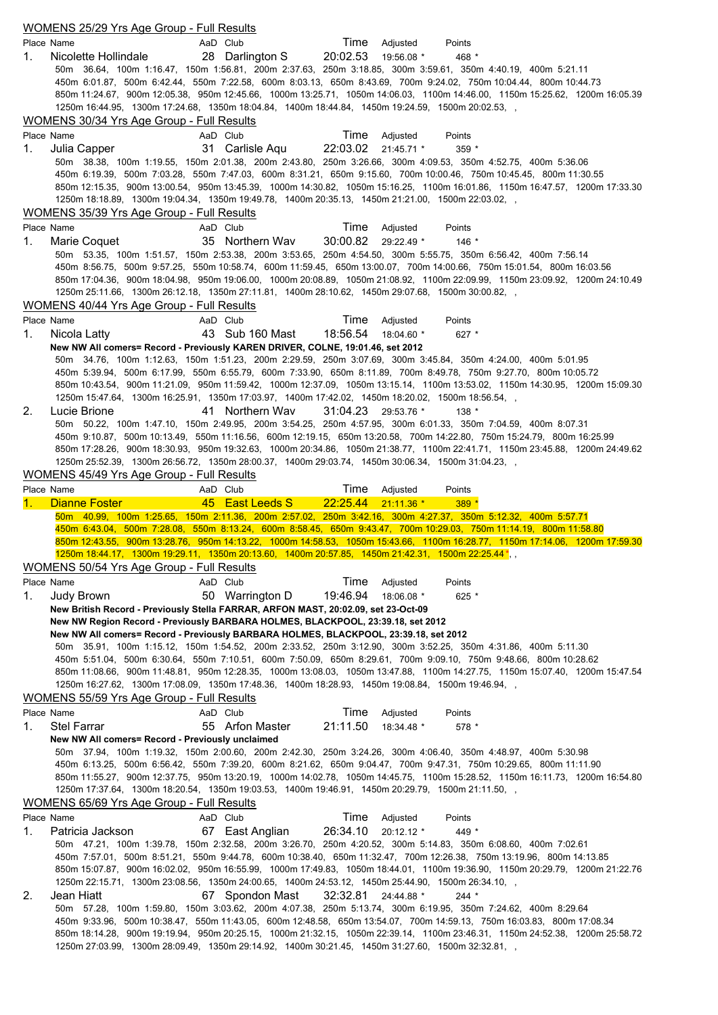|    | <b>WOMENS 25/29 Yrs Age Group - Full Results</b>                                                                                                                      |                 |                     |            |                                                                                                                                                                                                                                                     |  |
|----|-----------------------------------------------------------------------------------------------------------------------------------------------------------------------|-----------------|---------------------|------------|-----------------------------------------------------------------------------------------------------------------------------------------------------------------------------------------------------------------------------------------------------|--|
|    | Place Name                                                                                                                                                            | AaD Club        | Time                | Adjusted   | Points                                                                                                                                                                                                                                              |  |
| 1. | Nicolette Hollindale                                                                                                                                                  | 28 Darlington S | 20:02.53            | 19:56.08 * | 468 *                                                                                                                                                                                                                                               |  |
|    |                                                                                                                                                                       |                 |                     |            | 50m 36.64, 100m 1:16.47, 150m 1:56.81, 200m 2:37.63, 250m 3:18.85, 300m 3:59.61, 350m 4:40.19, 400m 5:21.11<br>450m 6:01.87, 500m 6:42.44, 550m 7:22.58, 600m 8:03.13, 650m 8:43.69, 700m 9:24.02, 750m 10:04.44, 800m 10:44.73                     |  |
|    |                                                                                                                                                                       |                 |                     |            | 850m 11:24.67, 900m 12:05.38, 950m 12:45.66, 1000m 13:25.71, 1050m 14:06.03, 1100m 14:46.00, 1150m 15:25.62, 1200m 16:05.39                                                                                                                         |  |
|    | 1250m 16:44.95, 1300m 17:24.68, 1350m 18:04.84, 1400m 18:44.84, 1450m 19:24.59, 1500m 20:02.53, ,                                                                     |                 |                     |            |                                                                                                                                                                                                                                                     |  |
|    | WOMENS 30/34 Yrs Age Group - Full Results                                                                                                                             |                 |                     |            |                                                                                                                                                                                                                                                     |  |
|    | Place Name                                                                                                                                                            | AaD Club        | Time                | Adjusted   | Points                                                                                                                                                                                                                                              |  |
| 1. | Julia Capper                                                                                                                                                          | 31 Carlisle Aqu | 22:03.02            | 21:45.71 * | $359*$                                                                                                                                                                                                                                              |  |
|    |                                                                                                                                                                       |                 |                     |            | 50m 38.38, 100m 1:19.55, 150m 2:01.38, 200m 2:43.80, 250m 3:26.66, 300m 4:09.53, 350m 4:52.75, 400m 5:36.06<br>450m 6:19.39, 500m 7:03.28, 550m 7:47.03, 600m 8:31.21, 650m 9:15.60, 700m 10:00.46, 750m 10:45.45, 800m 11:30.55                    |  |
|    |                                                                                                                                                                       |                 |                     |            | 850m 12:15.35, 900m 13:00.54, 950m 13:45.39, 1000m 14:30.82, 1050m 15:16.25, 1100m 16:01.86, 1150m 16:47.57, 1200m 17:33.30                                                                                                                         |  |
|    | 1250m 18:18.89, 1300m 19:04.34, 1350m 19:49.78, 1400m 20:35.13, 1450m 21:21.00, 1500m 22:03.02, ,                                                                     |                 |                     |            |                                                                                                                                                                                                                                                     |  |
|    | WOMENS 35/39 Yrs Age Group - Full Results                                                                                                                             |                 |                     |            |                                                                                                                                                                                                                                                     |  |
|    | Place Name                                                                                                                                                            | AaD Club        | Time                | Adjusted   | Points                                                                                                                                                                                                                                              |  |
| 1. | Marie Coquet                                                                                                                                                          | 35 Northern Wav | 30:00.82 29:22.49 * |            | $146*$                                                                                                                                                                                                                                              |  |
|    |                                                                                                                                                                       |                 |                     |            | 50m 53.35, 100m 1:51.57, 150m 2:53.38, 200m 3:53.65, 250m 4:54.50, 300m 5:55.75, 350m 6:56.42, 400m 7:56.14                                                                                                                                         |  |
|    |                                                                                                                                                                       |                 |                     |            | 450m 8:56.75, 500m 9:57.25, 550m 10:58.74, 600m 11:59.45, 650m 13:00.07, 700m 14:00.66, 750m 15:01.54, 800m 16:03.56<br>850m 17:04.36, 900m 18:04.98, 950m 19:06.00, 1000m 20:08.89, 1050m 21:08.92, 1100m 22:09.99, 1150m 23:09.92, 1200m 24:10.49 |  |
|    | 1250m 25:11.66, 1300m 26:12.18, 1350m 27:11.81, 1400m 28:10.62, 1450m 29:07.68, 1500m 30:00.82, ,                                                                     |                 |                     |            |                                                                                                                                                                                                                                                     |  |
|    | WOMENS 40/44 Yrs Age Group - Full Results                                                                                                                             |                 |                     |            |                                                                                                                                                                                                                                                     |  |
|    | Place Name                                                                                                                                                            | AaD Club        | Time                | Adjusted   | Points                                                                                                                                                                                                                                              |  |
| 1. | Nicola Latty                                                                                                                                                          | 43 Sub 160 Mast | 18:56.54            | 18:04.60 * | $627$ *                                                                                                                                                                                                                                             |  |
|    | New NW All comers= Record - Previously KAREN DRIVER, COLNE, 19:01.46, set 2012                                                                                        |                 |                     |            |                                                                                                                                                                                                                                                     |  |
|    |                                                                                                                                                                       |                 |                     |            | 50m 34.76, 100m 1:12.63, 150m 1:51.23, 200m 2:29.59, 250m 3:07.69, 300m 3:45.84, 350m 4:24.00, 400m 5:01.95                                                                                                                                         |  |
|    |                                                                                                                                                                       |                 |                     |            | 450m 5:39.94, 500m 6:17.99, 550m 6:55.79, 600m 7:33.90, 650m 8:11.89, 700m 8:49.78, 750m 9:27.70, 800m 10:05.72<br>850m 10:43.54, 900m 11:21.09, 950m 11:59.42, 1000m 12:37.09, 1050m 13:15.14, 1100m 13:53.02, 1150m 14:30.95, 1200m 15:09.30      |  |
|    | 1250m 15:47.64, 1300m 16:25.91, 1350m 17:03.97, 1400m 17:42.02, 1450m 18:20.02, 1500m 18:56.54, ,                                                                     |                 |                     |            |                                                                                                                                                                                                                                                     |  |
| 2. | Lucie Brione                                                                                                                                                          | 41 Northern Way | 31:04.23            | 29:53.76 * | $138 *$                                                                                                                                                                                                                                             |  |
|    |                                                                                                                                                                       |                 |                     |            | 50m 50.22, 100m 1:47.10, 150m 2:49.95, 200m 3:54.25, 250m 4:57.95, 300m 6:01.33, 350m 7:04.59, 400m 8:07.31                                                                                                                                         |  |
|    |                                                                                                                                                                       |                 |                     |            | 450m 9:10.87, 500m 10:13.49, 550m 11:16.56, 600m 12:19.15, 650m 13:20.58, 700m 14:22.80, 750m 15:24.79, 800m 16:25.99                                                                                                                               |  |
|    |                                                                                                                                                                       |                 |                     |            | 850m 17:28.26, 900m 18:30.93, 950m 19:32.63, 1000m 20:34.86, 1050m 21:38.77, 1100m 22:41.71, 1150m 23:45.88, 1200m 24:49.62                                                                                                                         |  |
|    | 1250m 25:52.39, 1300m 26:56.72, 1350m 28:00.37, 1400m 29:03.74, 1450m 30:06.34, 1500m 31:04.23, ,<br>WOMENS 45/49 Yrs Age Group - Full Results                        |                 |                     |            |                                                                                                                                                                                                                                                     |  |
|    |                                                                                                                                                                       | AaD Club        |                     |            |                                                                                                                                                                                                                                                     |  |
|    |                                                                                                                                                                       |                 |                     |            |                                                                                                                                                                                                                                                     |  |
|    | Place Name                                                                                                                                                            |                 | Time                | Adjusted   | Points                                                                                                                                                                                                                                              |  |
|    | <b>Dianne Foster</b>                                                                                                                                                  | 45 East Leeds S | 22:25.44 21:11.36 * |            | $389*$<br>50m 40.99, 100m 1:25.65, 150m 2:11.36, 200m 2:57.02, 250m 3:42.16, 300m 4:27.37, 350m 5:12.32, 400m 5:57.71                                                                                                                               |  |
|    |                                                                                                                                                                       |                 |                     |            | 450m 6:43.04, 500m 7:28.08, 550m 8:13.24, 600m 8:58.45, 650m 9:43.47, 700m 10:29.03, 750m 11:14.19, 800m 11:58.80                                                                                                                                   |  |
|    |                                                                                                                                                                       |                 |                     |            | 850m 12:43.55, 900m 13:28.76, 950m 14:13.22, 1000m 14:58.53, 1050m 15:43.66, 1100m 16:28.77, 1150m 17:14.06, 1200m 17:59.30                                                                                                                         |  |
|    | 1250m 18:44.17, 1300m 19:29.11, 1350m 20:13.60, 1400m 20:57.85, 1450m 21:42.31, 1500m 22:25.44*,                                                                      |                 |                     |            |                                                                                                                                                                                                                                                     |  |
|    | WOMENS 50/54 Yrs Age Group - Full Results                                                                                                                             |                 |                     |            |                                                                                                                                                                                                                                                     |  |
|    | Place Name                                                                                                                                                            | AaD Club        | Time                | Adjusted   | Points                                                                                                                                                                                                                                              |  |
| 1. | Judy Brown                                                                                                                                                            | 50 Warrington D | 19:46.94            | 18:06.08 * | $625$ *                                                                                                                                                                                                                                             |  |
|    | New British Record - Previously Stella FARRAR, ARFON MAST, 20:02.09, set 23-Oct-09<br>New NW Region Record - Previously BARBARA HOLMES, BLACKPOOL, 23:39.18, set 2012 |                 |                     |            |                                                                                                                                                                                                                                                     |  |
|    | New NW All comers= Record - Previously BARBARA HOLMES, BLACKPOOL, 23:39.18, set 2012                                                                                  |                 |                     |            |                                                                                                                                                                                                                                                     |  |
|    |                                                                                                                                                                       |                 |                     |            | 50m 35.91, 100m 1:15.12, 150m 1:54.52, 200m 2:33.52, 250m 3:12.90, 300m 3:52.25, 350m 4:31.86, 400m 5:11.30                                                                                                                                         |  |
|    |                                                                                                                                                                       |                 |                     |            | 450m 5:51.04, 500m 6:30.64, 550m 7:10.51, 600m 7:50.09, 650m 8:29.61, 700m 9:09.10, 750m 9:48.66, 800m10:28.62                                                                                                                                      |  |
|    |                                                                                                                                                                       |                 |                     |            | 850m 11:08.66, 900m 11:48.81, 950m 12:28.35, 1000m 13:08.03, 1050m 13:47.88, 1100m 14:27.75, 1150m 15:07.40, 1200m 15:47.54                                                                                                                         |  |
|    | 1250m 16:27.62, 1300m 17:08.09, 1350m 17:48.36, 1400m 18:28.93, 1450m 19:08.84, 1500m 19:46.94, ,                                                                     |                 |                     |            |                                                                                                                                                                                                                                                     |  |
|    | WOMENS 55/59 Yrs Age Group - Full Results<br>Place Name                                                                                                               | AaD Club        | Time                | Adjusted   | Points                                                                                                                                                                                                                                              |  |
| 1. | <b>Stel Farrar</b>                                                                                                                                                    | 55 Arfon Master | 21:11.50            | 18:34.48 * | 578 *                                                                                                                                                                                                                                               |  |
|    | New NW All comers= Record - Previously unclaimed                                                                                                                      |                 |                     |            |                                                                                                                                                                                                                                                     |  |
|    |                                                                                                                                                                       |                 |                     |            | 50m 37.94, 100m 1:19.32, 150m 2:00.60, 200m 2:42.30, 250m 3:24.26, 300m 4:06.40, 350m 4:48.97, 400m 5:30.98                                                                                                                                         |  |
|    |                                                                                                                                                                       |                 |                     |            | 450m 6:13.25, 500m 6:56.42, 550m 7:39.20, 600m 8:21.62, 650m 9:04.47, 700m 9:47.31, 750m 10:29.65, 800m 11:11.90                                                                                                                                    |  |
|    |                                                                                                                                                                       |                 |                     |            | 850m 11:55.27, 900m 12:37.75, 950m 13:20.19, 1000m 14:02.78, 1050m 14:45.75, 1100m 15:28.52, 1150m 16:11.73, 1200m 16:54.80                                                                                                                         |  |
|    | 1250m 17:37.64, 1300m 18:20.54, 1350m 19:03.53, 1400m 19:46.91, 1450m 20:29.79, 1500m 21:11.50, ,                                                                     |                 |                     |            |                                                                                                                                                                                                                                                     |  |
|    | WOMENS 65/69 Yrs Age Group - Full Results<br>Place Name                                                                                                               | AaD Club        | Time                | Adjusted   | Points                                                                                                                                                                                                                                              |  |
| 1. | Patricia Jackson                                                                                                                                                      | 67 East Anglian | 26:34.10            | 20:12.12 * | 449 *                                                                                                                                                                                                                                               |  |
|    |                                                                                                                                                                       |                 |                     |            | 50m 47.21, 100m 1:39.78, 150m 2:32.58, 200m 3:26.70, 250m 4:20.52, 300m 5:14.83, 350m 6:08.60, 400m 7:02.61                                                                                                                                         |  |
|    |                                                                                                                                                                       |                 |                     |            | 450m 7:57.01, 500m 8:51.21, 550m 9:44.78, 600m 10:38.40, 650m 11:32.47, 700m 12:26.38, 750m 13:19.96, 800m 14:13.85                                                                                                                                 |  |
|    |                                                                                                                                                                       |                 |                     |            | 850m 15:07.87, 900m 16:02.02, 950m 16:55.99, 1000m 17:49.83, 1050m 18:44.01, 1100m 19:36.90, 1150m 20:29.79, 1200m 21:22.76                                                                                                                         |  |
|    | 1250m 22:15.71, 1300m 23:08.56, 1350m 24:00.65, 1400m 24:53.12, 1450m 25:44.90, 1500m 26:34.10, ,                                                                     |                 |                     |            |                                                                                                                                                                                                                                                     |  |
| 2. | Jean Hiatt                                                                                                                                                            | 67 Spondon Mast | 32:32.81            | 24:44.88 * | $244 *$<br>50m 57.28, 100m 1:59.80, 150m 3:03.62, 200m 4:07.38, 250m 5:13.74, 300m 6:19.95, 350m 7:24.62, 400m 8:29.64                                                                                                                              |  |
|    |                                                                                                                                                                       |                 |                     |            | 450m 9:33.96, 500m 10:38.47, 550m 11:43.05, 600m 12:48.58, 650m 13:54.07, 700m 14:59.13, 750m 16:03.83, 800m 17:08.34                                                                                                                               |  |
|    | , 1250m 27:03.99, 1300m 28:09.49, 1350m 29:14.92, 1400m 30:21.45, 1450m 31:27.60, 1500m 32:32.81,                                                                     |                 |                     |            | 850m 18:14.28, 900m 19:19.94, 950m 20:25.15, 1000m 21:32.15, 1050m 22:39.14, 1100m 23:46.31, 1150m 24:52.38, 1200m 25:58.72                                                                                                                         |  |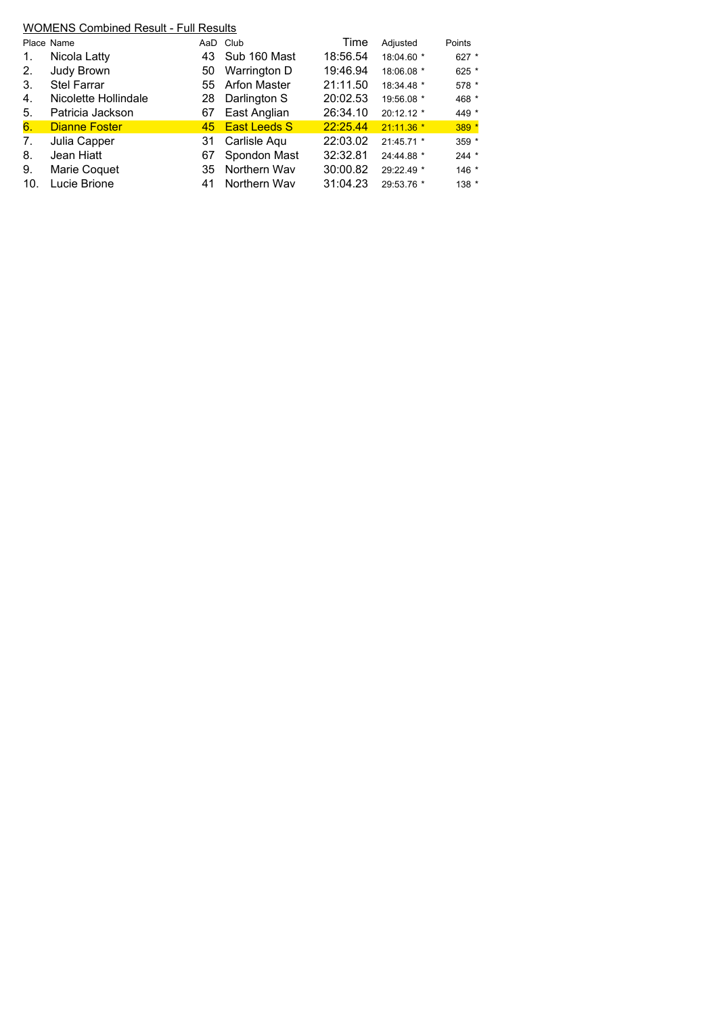| Place Name           |    | Club                | Time                                                                   | Adjusted    | Points  |
|----------------------|----|---------------------|------------------------------------------------------------------------|-------------|---------|
| Nicola Latty         | 43 | Sub 160 Mast        | 18:56.54                                                               | 18:04.60 *  | 627 *   |
| Judy Brown           | 50 | Warrington D        | 19:46.94                                                               | 18:06.08 *  | 625 *   |
| <b>Stel Farrar</b>   | 55 | <b>Arfon Master</b> | 21:11.50                                                               | 18:34.48 *  | 578 *   |
| Nicolette Hollindale | 28 | Darlington S        | 20:02.53                                                               | 19:56.08 *  | 468 *   |
| Patricia Jackson     | 67 | East Anglian        | 26:34.10                                                               | 20:12.12 *  | 449 *   |
| <b>Dianne Foster</b> |    |                     | 22:25.44                                                               | $21:11.36*$ | 389 *   |
| Julia Capper         | 31 | Carlisle Aqu        | 22:03.02                                                               | 21:45.71 *  | 359 *   |
| Jean Hiatt           | 67 | Spondon Mast        | 32:32.81                                                               | 24:44.88 *  | $244 *$ |
| Marie Coquet         | 35 | Northern Way        | 30:00.82                                                               | 29:22.49 *  | $146 *$ |
| Lucie Brione         | 41 | Northern Way        | 31:04.23                                                               | 29:53.76 *  | $138 *$ |
|                      |    |                     | <b>WOMENS Combined Result - Full Results</b><br>AaD<br>45 East Leeds S |             |         |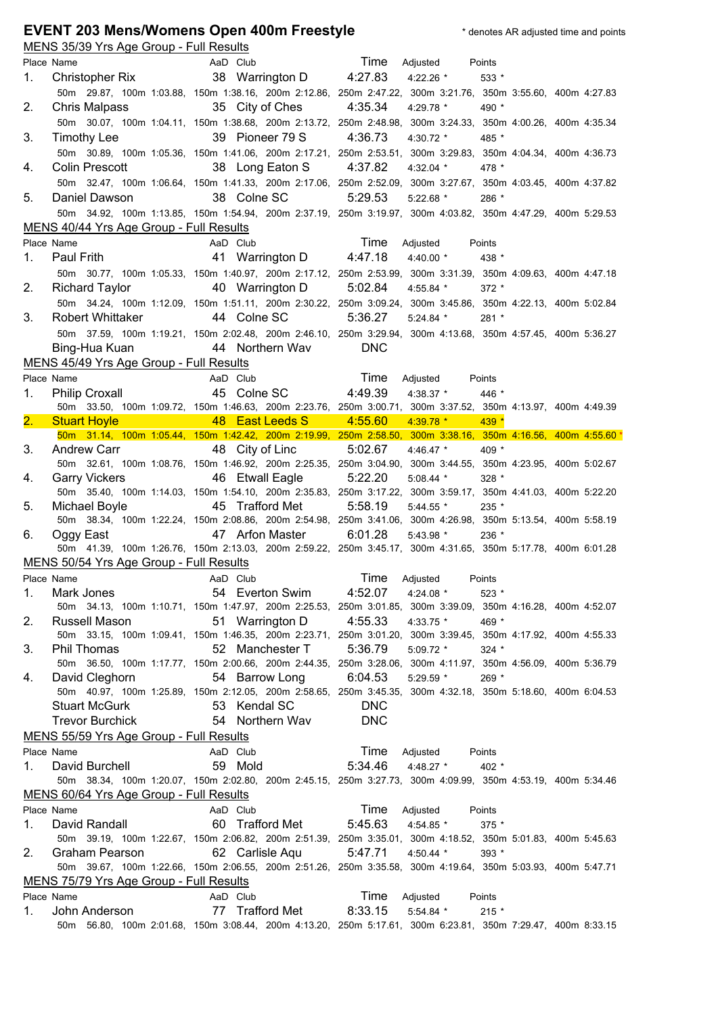## **EVENT 203 Mens/Womens Open 400m Freestyle** the station of the and points of the and points

|    | <u>MENS 35/39 Yrs Age Group - Full Results</u> |                                   |                                                                                                               |         |
|----|------------------------------------------------|-----------------------------------|---------------------------------------------------------------------------------------------------------------|---------|
|    | Place Name                                     | AaD Club                          | Time<br>Adjusted                                                                                              | Points  |
| 1. | Christopher Rix                                | 38 Warrington D 4:27.83           | $4:22.26$ *                                                                                                   | 533 *   |
|    |                                                |                                   | 50m 29.87, 100m 1:03.88, 150m 1:38.16, 200m 2:12.86, 250m 2:47.22, 300m 3:21.76, 350m 3:55.60, 400m 4:27.83   |         |
| 2. | Chris Malpass                                  | 35 City of Ches                   | 4:35.34<br>4:29.78 *                                                                                          | 490 *   |
|    |                                                |                                   | 50m 30.07, 100m 1:04.11, 150m 1:38.68, 200m 2:13.72, 250m 2:48.98, 300m 3:24.33, 350m 4:00.26, 400m 4:35.34   |         |
|    |                                                |                                   | 4:36.73                                                                                                       |         |
| 3. | Timothy Lee                                    | 39 Pioneer 79 S                   | 4:30.72 *                                                                                                     | 485 *   |
|    |                                                |                                   | 50m 30.89, 100m 1:05.36, 150m 1:41.06, 200m 2:17.21, 250m 2:53.51, 300m 3:29.83, 350m 4:04.34, 400m 4:36.73   |         |
| 4. | Colin Prescott                                 | 38 Long Eaton S                   | 4:37.82<br>4:32.04 $*$                                                                                        | 478 *   |
|    |                                                |                                   | 50m 32.47, 100m 1:06.64, 150m 1:41.33, 200m 2:17.06, 250m 2:52.09, 300m 3:27.67, 350m 4:03.45, 400m 4:37.82   |         |
| 5. | Daniel Dawson                                  | 38 Colne SC                       | 5:29.53<br>$5:22.68$ *                                                                                        | 286 *   |
|    |                                                |                                   | 50m 34.92, 100m 1:13.85, 150m 1:54.94, 200m 2:37.19, 250m 3:19.97, 300m 4:03.82, 350m 4:47.29, 400m 5:29.53   |         |
|    | MENS 40/44 Yrs Age Group - Full Results        |                                   |                                                                                                               |         |
|    | Place Name                                     | AaD Club                          | Time                                                                                                          | Points  |
|    |                                                |                                   | Adjusted                                                                                                      |         |
| 1. | Paul Frith                                     | 41 Warrington D 4:47.18           | 4:40.00 *                                                                                                     | 438 *   |
|    |                                                |                                   | 50m 30.77, 100m 1:05.33, 150m 1:40.97, 200m 2:17.12, 250m 2:53.99, 300m 3:31.39, 350m 4:09.63, 400m 4:47.18   |         |
| 2. | <b>Richard Taylor</b>                          | 40 Warrington D 5:02.84           | 4:55.84 *                                                                                                     | $372*$  |
|    |                                                |                                   | 50m 34.24, 100m 1:12.09, 150m 1:51.11, 200m 2:30.22, 250m 3:09.24, 300m 3:45.86, 350m 4:22.13, 400m 5:02.84   |         |
| 3. | <b>Robert Whittaker</b>                        | 44 Colne SC                       | 5:36.27<br>$5:24.84$ *                                                                                        | 281 *   |
|    |                                                |                                   | 50m 37.59, 100m 1:19.21, 150m 2:02.48, 200m 2:46.10, 250m 3:29.94, 300m 4:13.68, 350m 4:57.45, 400m 5:36.27   |         |
|    | Bing-Hua Kuan 44 Northern Wav                  |                                   | <b>DNC</b>                                                                                                    |         |
|    | MENS 45/49 Yrs Age Group - Full Results        |                                   |                                                                                                               |         |
|    | Place Name                                     | <b>Example 2</b> Time<br>AaD Club | Adjusted                                                                                                      |         |
|    |                                                |                                   |                                                                                                               | Points  |
| 1. | <b>Philip Croxall</b>                          | 45 Colne SC                       | 4:49.39<br>$4:38.37$ *                                                                                        | 446 *   |
|    |                                                |                                   | 50m 33.50, 100m 1:09.72, 150m 1:46.63, 200m 2:23.76, 250m 3:00.71, 300m 3:37.52, 350m 4:13.97, 400m 4:49.39   |         |
| 2. | <b>Stuart Hoyle</b><br><b>Service Service</b>  | 48 East Leeds S                   | 4:55.60<br>$4:39.78$ *                                                                                        | 439 *   |
|    |                                                |                                   | 50m 31.14, 100m 1:05.44, 150m 1:42.42, 200m 2:19.99, 250m 2:58.50, 300m 3:38.16, 350m 4:16.56, 400m 4:55.60 * |         |
| 3. | <b>Andrew Carr</b>                             | 48 City of Linc                   | 5:02.67<br>$4:46.47$ *                                                                                        | 409 *   |
|    |                                                |                                   | 50m 32.61, 100m 1:08.76, 150m 1:46.92, 200m 2:25.35, 250m 3:04.90, 300m 3:44.55, 350m 4:23.95, 400m 5:02.67   |         |
| 4. | <b>Garry Vickers</b>                           | 46 Etwall Eagle                   | 5:22.20<br>5:08.44 *                                                                                          | $328*$  |
|    |                                                |                                   |                                                                                                               |         |
|    |                                                |                                   | 50m 35.40, 100m 1:14.03, 150m 1:54.10, 200m 2:35.83, 250m 3:17.22, 300m 3:59.17, 350m 4:41.03, 400m 5:22.20   |         |
| 5. | Michael Boyle                                  | 45 Trafford Met                   | 5:58.19<br>$5:44.55$ *                                                                                        | 235 *   |
|    |                                                |                                   | 50m 38.34, 100m 1:22.24, 150m 2:08.86, 200m 2:54.98, 250m 3:41.06, 300m 4:26.98, 350m 5:13.54, 400m 5:58.19   |         |
| 6. | Oggy East <b>Department</b>                    | 47 Arfon Master                   | 6:01.28<br>$5:43.98$ *                                                                                        | 236 *   |
|    |                                                |                                   |                                                                                                               |         |
|    |                                                |                                   | 50m 41.39, 100m 1:26.76, 150m 2:13.03, 200m 2:59.22, 250m 3:45.17, 300m 4:31.65, 350m 5:17.78, 400m 6:01.28   |         |
|    | MENS 50/54 Yrs Age Group - Full Results        |                                   |                                                                                                               |         |
|    | Place Name                                     | AaD Club                          | Time<br>Adjusted                                                                                              | Points  |
| 1. | Mark Jones                                     | 54 Everton Swim                   | 4:52.07<br>4:24.08 *                                                                                          | $523 *$ |
|    |                                                |                                   | 50m 34.13, 100m 1:10.71, 150m 1:47.97, 200m 2:25.53, 250m 3:01.85, 300m 3:39.09, 350m 4:16.28, 400m 4:52.07   |         |
| 2. | Russell Mason                                  | 51 Warrington D                   | 4:55.33<br>4:33.75 *                                                                                          | 469 *   |
|    |                                                |                                   | 50m 33.15, 100m 1:09.41, 150m 1:46.35, 200m 2:23.71, 250m 3:01.20, 300m 3:39.45, 350m 4:17.92, 400m 4:55.33   |         |
| 3. | <b>Phil Thomas</b>                             | 52 Manchester T                   | 5:36.79<br>$5:09.72$ *                                                                                        | $324 *$ |
|    |                                                |                                   | 50m 36.50, 100m 1:17.77, 150m 2:00.66, 200m 2:44.35, 250m 3:28.06, 300m 4:11.97, 350m 4:56.09, 400m 5:36.79   |         |
| 4. | David Cleghorn                                 | 54 Barrow Long                    | 6:04.53<br>$5:29.59$ *                                                                                        | 269 *   |
|    |                                                |                                   | 50m 40.97, 100m 1:25.89, 150m 2:12.05, 200m 2:58.65, 250m 3:45.35, 300m 4:32.18, 350m 5:18.60, 400m 6:04.53   |         |
|    | <b>Stuart McGurk</b>                           | 53 Kendal SC                      | <b>DNC</b>                                                                                                    |         |
|    | <b>Trevor Burchick</b>                         | 54 Northern Wav                   | <b>DNC</b>                                                                                                    |         |
|    | MENS 55/59 Yrs Age Group - Full Results        |                                   |                                                                                                               |         |
|    | Place Name                                     | AaD Club                          | Time                                                                                                          | Points  |
|    |                                                |                                   | Adjusted                                                                                                      |         |
| 1. | David Burchell                                 | 59 Mold                           | 5:34.46<br>4:48.27 $*$                                                                                        | 402 *   |
|    |                                                |                                   | 50m 38.34, 100m 1:20.07, 150m 2:02.80, 200m 2:45.15, 250m 3:27.73, 300m 4:09.99, 350m 4:53.19, 400m 5:34.46   |         |
|    | MENS 60/64 Yrs Age Group - Full Results        |                                   |                                                                                                               |         |
|    | Place Name                                     | AaD Club                          | Time<br>Adjusted                                                                                              | Points  |
| 1. | David Randall                                  | 60 Trafford Met                   | 5:45.63<br>4:54.85 *                                                                                          | 375 *   |
|    |                                                |                                   | 50m 39.19, 100m 1:22.67, 150m 2:06.82, 200m 2:51.39, 250m 3:35.01, 300m 4:18.52, 350m 5:01.83, 400m 5:45.63   |         |
| 2. | Graham Pearson                                 | 62 Carlisle Aqu                   | 5:47.71<br>4:50.44 *                                                                                          | 393 *   |
|    |                                                |                                   | 50m 39.67, 100m 1:22.66, 150m 2:06.55, 200m 2:51.26, 250m 3:35.58, 300m 4:19.64, 350m 5:03.93, 400m 5:47.71   |         |
|    | MENS 75/79 Yrs Age Group - Full Results        |                                   |                                                                                                               |         |
|    | Place Name                                     | AaD Club                          | Time<br>Adjusted                                                                                              | Points  |
| 1. | John Anderson                                  | 77 Trafford Met                   | 8:33.15<br>5:54.84 *                                                                                          | $215 *$ |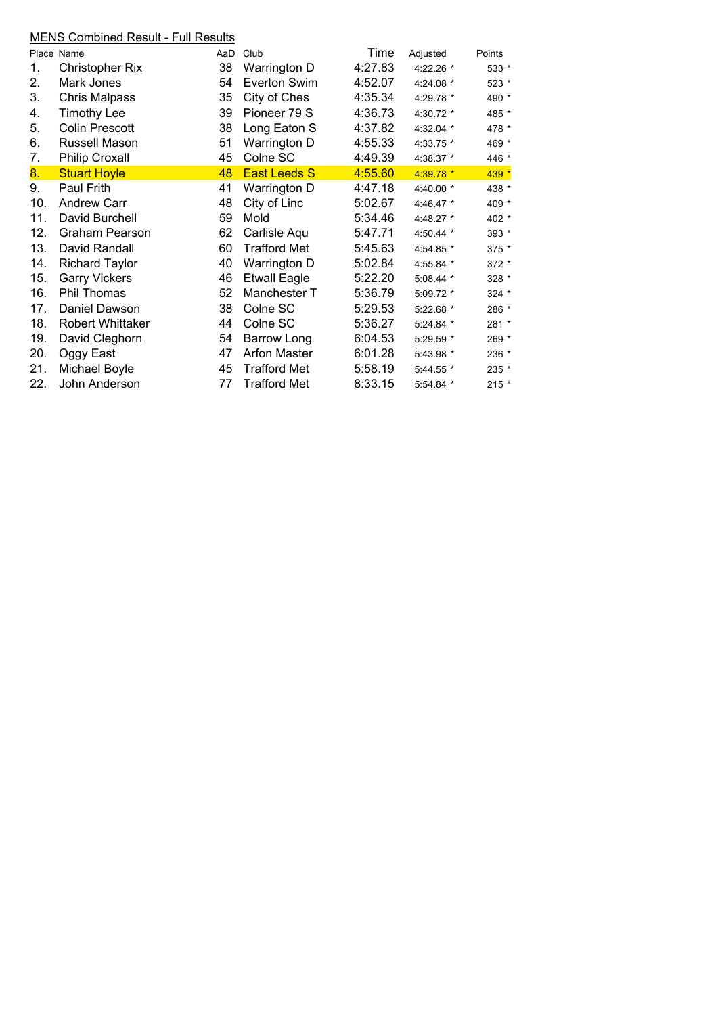## MENS Combined Result - Full Results

|     | <u>-10 Sonnomod Hosait Ham Rosaito</u> |     |                     |         |             |         |
|-----|----------------------------------------|-----|---------------------|---------|-------------|---------|
|     | Place Name                             | AaD | Club                | Time    | Adjusted    | Points  |
| 1.  | Christopher Rix                        | 38  | Warrington D        | 4:27.83 | 4:22.26 *   | 533 *   |
| 2.  | Mark Jones                             | 54  | Everton Swim        | 4:52.07 | 4:24.08 *   | $523 *$ |
| 3.  | Chris Malpass                          | 35  | City of Ches        | 4:35.34 | 4:29.78 *   | 490 *   |
| 4.  | <b>Timothy Lee</b>                     | 39  | Pioneer 79 S        | 4:36.73 | 4:30.72 *   | 485 *   |
| 5.  | <b>Colin Prescott</b>                  | 38  | Long Eaton S        | 4:37.82 | 4:32.04 *   | 478 *   |
| 6.  | Russell Mason                          | 51  | Warrington D        | 4:55.33 | 4:33.75 *   | 469 *   |
| 7.  | <b>Philip Croxall</b>                  | 45  | Colne SC            | 4:49.39 | 4:38.37 *   | 446 *   |
| 8.  | <b>Stuart Hoyle</b>                    | 48  | <b>East Leeds S</b> | 4:55.60 | $4:39.78$ * | 439 *   |
| 9.  | Paul Frith                             | 41  | Warrington D        | 4:47.18 | 4:40.00 *   | 438 *   |
| 10. | <b>Andrew Carr</b>                     | 48  | City of Linc        | 5:02.67 | 4:46.47 *   | 409 *   |
| 11. | David Burchell                         | 59  | Mold                | 5:34.46 | 4:48.27 *   | 402 *   |
| 12. | Graham Pearson                         | 62  | Carlisle Aqu        | 5:47.71 | 4:50.44 *   | 393 *   |
| 13. | David Randall                          | 60  | <b>Trafford Met</b> | 5:45.63 | 4:54.85 *   | 375 *   |
| 14. | <b>Richard Taylor</b>                  | 40  | Warrington D        | 5:02.84 | 4:55.84 *   | 372 *   |
| 15. | <b>Garry Vickers</b>                   | 46  | <b>Etwall Eagle</b> | 5:22.20 | 5:08.44 *   | 328 *   |
| 16. | Phil Thomas                            | 52  | Manchester T        | 5:36.79 | 5:09.72 *   | 324 *   |
| 17. | Daniel Dawson                          | 38  | Colne SC            | 5:29.53 | $5:22.68$ * | 286 *   |
| 18. | Robert Whittaker                       | 44  | Colne SC            | 5:36.27 | 5:24.84 *   | 281 *   |
| 19. | David Cleghorn                         | 54  | <b>Barrow Long</b>  | 6:04.53 | 5:29.59 *   | 269 *   |
| 20. | Oggy East                              | 47  | <b>Arfon Master</b> | 6:01.28 | 5:43.98 *   | 236 *   |
| 21. | Michael Boyle                          | 45  | <b>Trafford Met</b> | 5:58.19 | 5:44.55 *   | 235 *   |
| 22. | John Anderson                          | 77  | <b>Trafford Met</b> | 8:33.15 | 5:54.84 *   | $215 *$ |
|     |                                        |     |                     |         |             |         |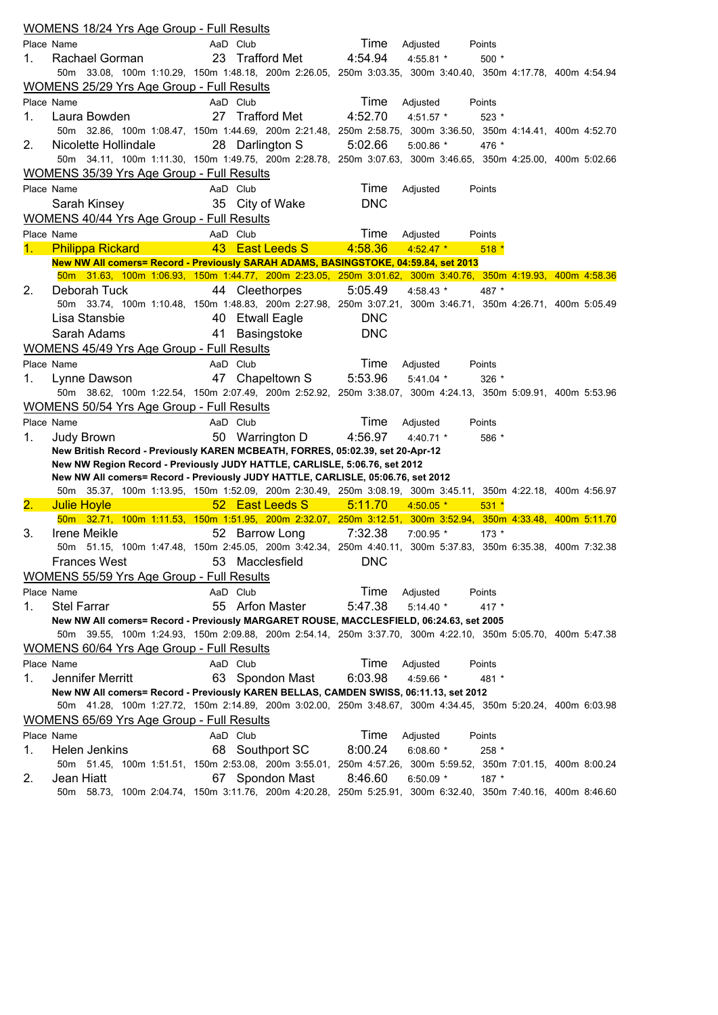|                  | <b>WOMENS 18/24 Yrs Age Group - Full Results</b>                                                               |          |                 |            |             |         |  |
|------------------|----------------------------------------------------------------------------------------------------------------|----------|-----------------|------------|-------------|---------|--|
|                  | Place Name                                                                                                     | AaD Club |                 | Time       | Adjusted    | Points  |  |
| 1.               | Rachael Gorman                                                                                                 |          | 23 Trafford Met | 4:54.94    | $4:55.81$ * | $500*$  |  |
|                  | 50m 33.08, 100m 1:10.29, 150m 1:48.18, 200m 2:26.05, 250m 3:03.35, 300m 3:40.40, 350m 4:17.78, 400m 4:54.94    |          |                 |            |             |         |  |
|                  | WOMENS 25/29 Yrs Age Group - Full Results                                                                      |          |                 |            |             |         |  |
|                  | Place Name                                                                                                     | AaD Club |                 | Time       | Adjusted    | Points  |  |
| 1.               | Laura Bowden                                                                                                   |          | 27 Trafford Met | 4:52.70    | $4:51.57$ * | 523 *   |  |
|                  | 50m 32.86, 100m 1:08.47, 150m 1:44.69, 200m 2:21.48, 250m 2:58.75, 300m 3:36.50, 350m 4:14.41, 400m 4:52.70    |          |                 |            |             |         |  |
| 2.               | Nicolette Hollindale                                                                                           |          | 28 Darlington S | 5:02.66    | $5:00.86$ * | 476 *   |  |
|                  | 50m 34.11, 100m 1:11.30, 150m 1:49.75, 200m 2:28.78, 250m 3:07.63, 300m 3:46.65, 350m 4:25.00, 400m 5:02.66    |          |                 |            |             |         |  |
|                  | WOMENS 35/39 Yrs Age Group - Full Results                                                                      |          |                 |            |             |         |  |
|                  | Place Name                                                                                                     | AaD Club |                 | Time       | Adjusted    | Points  |  |
|                  | Sarah Kinsey                                                                                                   |          | 35 City of Wake | <b>DNC</b> |             |         |  |
|                  | <b>WOMENS 40/44 Yrs Age Group - Full Results</b>                                                               |          |                 |            |             |         |  |
|                  | Place Name                                                                                                     | AaD Club |                 | Time       |             |         |  |
|                  |                                                                                                                |          |                 |            | Adjusted    | Points  |  |
| 1.               | <b>Philippa Rickard</b><br>New NW All comers= Record - Previously SARAH ADAMS, BASINGSTOKE, 04:59.84, set 2013 |          | 43 East Leeds S | 4:58.36    | $4:52.47$ * | $518*$  |  |
|                  | 50m 31.63, 100m 1:06.93, 150m 1:44.77, 200m 2:23.05, 250m 3:01.62, 300m 3:40.76, 350m 4:19.93, 400m 4:58.36    |          |                 |            |             |         |  |
| 2.               | Deborah Tuck                                                                                                   |          | 44 Cleethorpes  | 5:05.49    | 4:58.43 *   | 487 *   |  |
|                  | 50m 33.74, 100m 1:10.48, 150m 1:48.83, 200m 2:27.98, 250m 3:07.21, 300m 3:46.71, 350m 4:26.71, 400m 5:05.49    |          |                 |            |             |         |  |
|                  | Lisa Stansbie                                                                                                  |          | 40 Etwall Eagle | <b>DNC</b> |             |         |  |
|                  | Sarah Adams                                                                                                    |          | 41 Basingstoke  | <b>DNC</b> |             |         |  |
|                  |                                                                                                                |          |                 |            |             |         |  |
|                  | <b>WOMENS 45/49 Yrs Age Group - Full Results</b>                                                               |          |                 |            |             |         |  |
|                  | Place Name                                                                                                     | AaD Club |                 | Time       | Adjusted    | Points  |  |
| 1.               | Lynne Dawson                                                                                                   |          | 47 Chapeltown S | 5:53.96    | $5:41.04$ * | $326$ * |  |
|                  | 50m 38.62, 100m 1:22.54, 150m 2:07.49, 200m 2:52.92, 250m 3:38.07, 300m 4:24.13, 350m 5:09.91, 400m 5:53.96    |          |                 |            |             |         |  |
|                  | WOMENS 50/54 Yrs Age Group - Full Results                                                                      |          |                 |            |             |         |  |
|                  | Place Name                                                                                                     | AaD Club |                 | Time       | Adjusted    | Points  |  |
| 1.               | Judy Brown                                                                                                     |          | 50 Warrington D | 4:56.97    | $4:40.71$ * | 586 *   |  |
|                  | New British Record - Previously KAREN MCBEATH, FORRES, 05:02.39, set 20-Apr-12                                 |          |                 |            |             |         |  |
|                  | New NW Region Record - Previously JUDY HATTLE, CARLISLE, 5:06.76, set 2012                                     |          |                 |            |             |         |  |
|                  | New NW All comers= Record - Previously JUDY HATTLE, CARLISLE, 05:06.76, set 2012                               |          |                 |            |             |         |  |
|                  | 50m 35.37, 100m 1:13.95, 150m 1:52.09, 200m 2:30.49, 250m 3:08.19, 300m 3:45.11, 350m 4:22.18, 400m 4:56.97    |          |                 |            |             |         |  |
| $\overline{2}$ . | <b>Julie Hoyle</b>                                                                                             |          | 52 East Leeds S | 5:11.70    | $4:50.05*$  | $531 *$ |  |
|                  | 50m 32.71, 100m 1:11.53, 150m 1:51.95, 200m 2:32.07, 250m 3:12.51, 300m 3:52.94, 350m 4:33.48, 400m 5:11.70    |          |                 |            |             |         |  |
| 3.               | Irene Meikle                                                                                                   |          | 52 Barrow Long  | 7:32.38    | 7:00.95 *   | $173*$  |  |
|                  | 50m 51.15, 100m 1:47.48, 150m 2:45.05, 200m 3:42.34, 250m 4:40.11, 300m 5:37.83, 350m 6:35.38, 400m 7:32.38    |          |                 |            |             |         |  |
|                  | Frances West                                                                                                   |          | 53 Macclesfield | <b>DNC</b> |             |         |  |
|                  | <b>WOMENS 55/59 Yrs Age Group - Full Results</b>                                                               |          |                 |            |             |         |  |
|                  | Place Name                                                                                                     | AaD Club |                 | Time       | Adjusted    | Points  |  |
| 1.               | <b>Stel Farrar</b>                                                                                             |          | 55 Arfon Master | 5:47.38    | $5:14.40*$  | 417 *   |  |
|                  | New NW All comers= Record - Previously MARGARET ROUSE, MACCLESFIELD, 06:24.63, set 2005                        |          |                 |            |             |         |  |
|                  | 50m 39.55, 100m 1:24.93, 150m 2:09.88, 200m 2:54.14, 250m 3:37.70, 300m 4:22.10, 350m 5:05.70, 400m 5:47.38    |          |                 |            |             |         |  |
|                  | WOMENS 60/64 Yrs Age Group - Full Results                                                                      |          |                 |            |             |         |  |
|                  | Place Name                                                                                                     | AaD Club |                 | Time       | Adjusted    | Points  |  |
| 1.               | Jennifer Merritt                                                                                               |          | 63 Spondon Mast | 6:03.98    | 4:59.66 *   | 481 *   |  |
|                  | New NW All comers= Record - Previously KAREN BELLAS, CAMDEN SWISS, 06:11.13, set 2012                          |          |                 |            |             |         |  |
|                  | 50m 41.28, 100m 1:27.72, 150m 2:14.89, 200m 3:02.00, 250m 3:48.67, 300m 4:34.45, 350m 5:20.24, 400m 6:03.98    |          |                 |            |             |         |  |
|                  | WOMENS 65/69 Yrs Age Group - Full Results                                                                      |          |                 |            |             |         |  |
|                  | Place Name                                                                                                     | AaD Club |                 | Time       | Adjusted    | Points  |  |
| 1.               | Helen Jenkins                                                                                                  |          | 68 Southport SC | 8:00.24    | 6:08.60 $*$ | 258 *   |  |
|                  | 50m 51.45, 100m 1:51.51, 150m 2:53.08, 200m 3:55.01, 250m 4:57.26, 300m 5:59.52, 350m 7:01.15, 400m 8:00.24    |          |                 |            |             |         |  |
| 2.               | Jean Hiatt                                                                                                     |          | 67 Spondon Mast | 8:46.60    | 6:50.09 $*$ | 187 *   |  |
|                  | 58.73, 100m 2:04.74, 150m 3:11.76, 200m 4:20.28, 250m 5:25.91, 300m 6:32.40, 350m 7:40.16, 400m 8:46.60<br>50m |          |                 |            |             |         |  |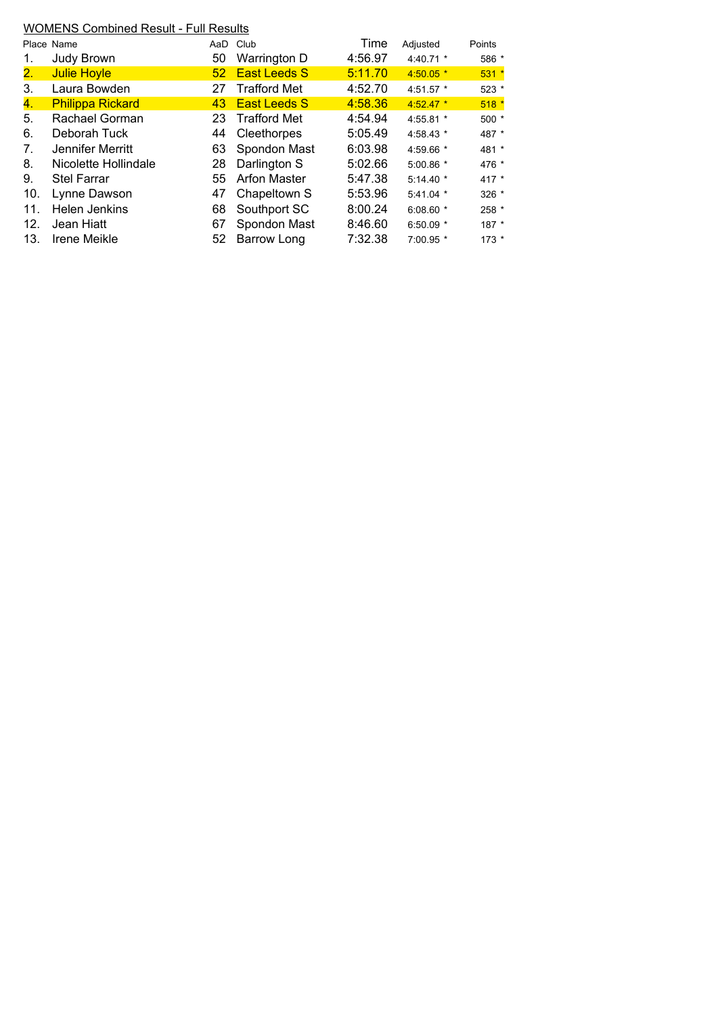## WOMENS Combined Result - Full Results

|                | Place Name              | AaD             | Club                | Time    | Adjusted    | Points  |
|----------------|-------------------------|-----------------|---------------------|---------|-------------|---------|
| 1.             | Judy Brown              | 50              | Warrington D        | 4:56.97 | 4:40.71 $*$ | 586 *   |
| 2.             | <b>Julie Hoyle</b>      | 52 <sub>2</sub> | <b>East Leeds S</b> | 5:11.70 | $4:50.05*$  | $531*$  |
| 3.             | Laura Bowden            | 27              | <b>Trafford Met</b> | 4:52.70 | 4:51.57 *   | 523 *   |
| 4.             | <b>Philippa Rickard</b> | 43              | <b>East Leeds S</b> | 4:58.36 | $4:52.47*$  | $518*$  |
| 5.             | Rachael Gorman          | 23              | <b>Trafford Met</b> | 4:54.94 | 4:55.81 *   | $500*$  |
| 6.             | Deborah Tuck            | 44              | Cleethorpes         | 5:05.49 | 4:58.43 *   | 487 *   |
| 7 <sub>1</sub> | Jennifer Merritt        | 63              | Spondon Mast        | 6:03.98 | 4:59.66 *   | 481 *   |
| 8.             | Nicolette Hollindale    | 28              | Darlington S        | 5:02.66 | $5:00.86$ * | 476 *   |
| 9.             | <b>Stel Farrar</b>      | 55              | <b>Arfon Master</b> | 5:47.38 | $5:14.40*$  | 417 $*$ |
| 10.            | Lynne Dawson            | 47              | Chapeltown S        | 5:53.96 | $5:41.04$ * | $326 *$ |
| 11.            | <b>Helen Jenkins</b>    | 68              | Southport SC        | 8:00.24 | $6:08.60*$  | 258 *   |
| 12.            | Jean Hiatt              | 67              | Spondon Mast        | 8:46.60 | 6:50.09 $*$ | $187 *$ |
| 13.            | <b>Irene Meikle</b>     | 52              | Barrow Long         | 7:32.38 | 7:00.95 *   | $173 *$ |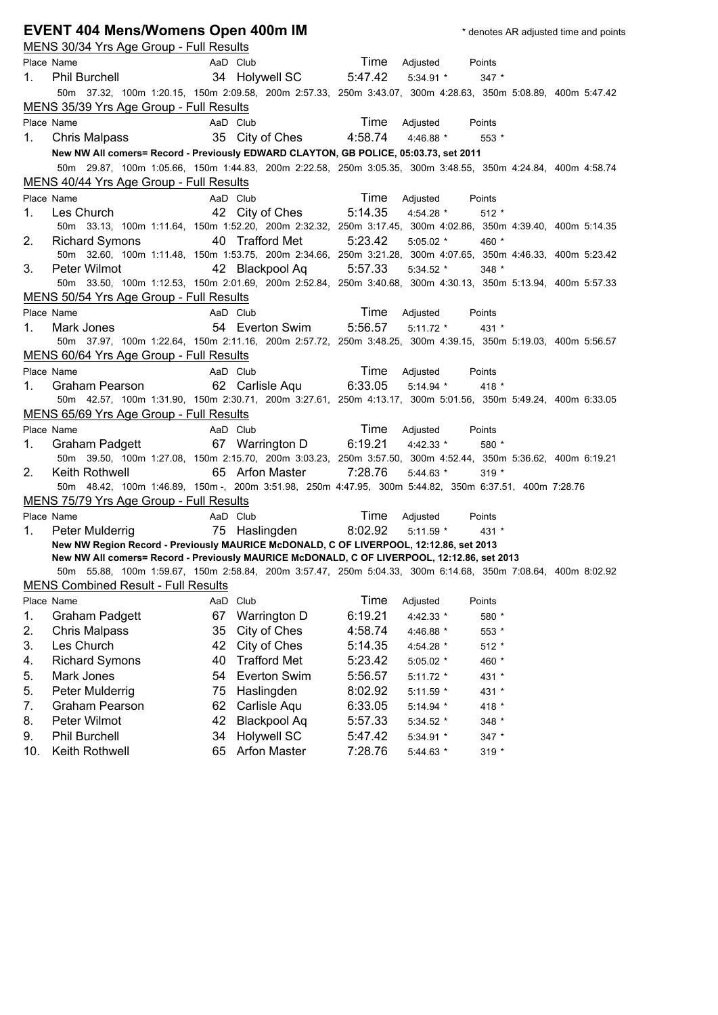|     | <b>EVENT 404 Mens/Womens Open 400m IM</b>                                                                                                                                             |    |                                   |         |               | * denotes AR adjusted time and points |  |
|-----|---------------------------------------------------------------------------------------------------------------------------------------------------------------------------------------|----|-----------------------------------|---------|---------------|---------------------------------------|--|
|     | MENS 30/34 Yrs Age Group - Full Results                                                                                                                                               |    |                                   |         |               |                                       |  |
|     | Place Name                                                                                                                                                                            |    | AaD Club                          | Time    | Adjusted      | Points                                |  |
| 1.  | <b>Phil Burchell</b>                                                                                                                                                                  |    | 34 Holywell SC                    | 5:47.42 | $5:34.91*$    | $347 *$                               |  |
|     | 50m 37.32, 100m 1:20.15, 150m 2:09.58, 200m 2:57.33, 250m 3:43.07, 300m 4:28.63, 350m 5:08.89, 400m 5:47.42                                                                           |    |                                   |         |               |                                       |  |
|     | MENS 35/39 Yrs Age Group - Full Results                                                                                                                                               |    |                                   |         |               |                                       |  |
|     | Place Name                                                                                                                                                                            |    | AaD Club                          | Time    | Adjusted      | Points                                |  |
| 1.  | Chris Malpass                                                                                                                                                                         |    | 35 City of Ches                   | 4:58.74 | 4:46.88 *     | $553*$                                |  |
|     | New NW All comers= Record - Previously EDWARD CLAYTON, GB POLICE, 05:03.73, set 2011                                                                                                  |    |                                   |         |               |                                       |  |
|     | 50m 29.87, 100m 1:05.66, 150m 1:44.83, 200m 2:22.58, 250m 3:05.35, 300m 3:48.55, 350m 4:24.84, 400m 4:58.74                                                                           |    |                                   |         |               |                                       |  |
|     | MENS 40/44 Yrs Age Group - Full Results                                                                                                                                               |    |                                   |         |               |                                       |  |
|     | Place Name                                                                                                                                                                            |    | AaD Club                          | Time    | Adjusted      | Points                                |  |
| 1.  | Les Church <b>Exercises</b>                                                                                                                                                           |    | 42 City of Ches                   | 5:14.35 | 4:54.28 *     | $512*$                                |  |
|     | 50m 33.13, 100m 1:11.64, 150m 1:52.20, 200m 2:32.32, 250m 3:17.45, 300m 4:02.86, 350m 4:39.40, 400m 5:14.35                                                                           |    |                                   |         |               |                                       |  |
| 2.  | <b>Richard Symons</b>                                                                                                                                                                 |    | 40 Trafford Met                   | 5:23.42 | $5:05.02$ *   | 460 *                                 |  |
|     | 50m 32.60, 100m 1:11.48, 150m 1:53.75, 200m 2:34.66, 250m 3:21.28, 300m 4:07.65, 350m 4:46.33, 400m 5:23.42                                                                           |    |                                   |         |               |                                       |  |
| 3.  | Peter Wilmot                                                                                                                                                                          |    | 42 Blackpool Aq 5:57.33           |         | $5:34.52*$    | $348 *$                               |  |
|     | 50m 33.50, 100m 1:12.53, 150m 2:01.69, 200m 2:52.84, 250m 3:40.68, 300m 4:30.13, 350m 5:13.94, 400m 5:57.33                                                                           |    |                                   |         |               |                                       |  |
|     | MENS 50/54 Yrs Age Group - Full Results                                                                                                                                               |    |                                   |         |               |                                       |  |
|     | Place Name                                                                                                                                                                            |    | AaD Club                          |         | Time Adjusted | Points                                |  |
| 1.  | Mark Jones                                                                                                                                                                            |    | 54 Everton Swim                   | 5:56.57 | $5:11.72*$    | 431 *                                 |  |
|     | 50m 37.97, 100m 1:22.64, 150m 2:11.16, 200m 2:57.72, 250m 3:48.25, 300m 4:39.15, 350m 5:19.03, 400m 5:56.57                                                                           |    |                                   |         |               |                                       |  |
|     | MENS 60/64 Yrs Age Group - Full Results                                                                                                                                               |    |                                   |         |               |                                       |  |
|     | Place Name                                                                                                                                                                            |    | AaD Club                          |         | Time Adjusted | Points                                |  |
| 1.  | Graham Pearson                                                                                                                                                                        |    | 62 Carlisle Aqu 6:33.05           |         | $5:14.94$ *   | 418 $*$                               |  |
|     | 50m 42.57, 100m 1:31.90, 150m 2:30.71, 200m 3:27.61, 250m 4:13.17, 300m 5:01.56, 350m 5:49.24, 400m 6:33.05                                                                           |    |                                   |         |               |                                       |  |
|     | MENS 65/69 Yrs Age Group - Full Results                                                                                                                                               |    |                                   |         |               |                                       |  |
|     | Place Name                                                                                                                                                                            |    | AaD Club                          |         | Time Adjusted | Points                                |  |
| 1.  | Graham Padgett                                                                                                                                                                        |    | 67 Warrington D 6:19.21 4:42.33 * |         |               | 580 *                                 |  |
|     | 50m 39.50, 100m 1:27.08, 150m 2:15.70, 200m 3:03.23, 250m 3:57.50, 300m 4:52.44, 350m 5:36.62, 400m 6:19.21                                                                           |    |                                   |         |               |                                       |  |
| 2.  | Keith Rothwell                                                                                                                                                                        |    | 65 Arfon Master                   | 7:28.76 | $5:44.63*$    | $319 *$                               |  |
|     | 50m 48.42, 100m 1:46.89, 150m -, 200m 3:51.98, 250m 4:47.95, 300m 5:44.82, 350m 6:37.51, 400m 7:28.76                                                                                 |    |                                   |         |               |                                       |  |
|     | MENS 75/79 Yrs Age Group - Full Results                                                                                                                                               |    |                                   |         |               |                                       |  |
|     | Place Name                                                                                                                                                                            |    | AaD Club                          | Time    | Adjusted      | Points                                |  |
| 1.  | Peter Mulderrig                                                                                                                                                                       |    | 75 Haslingden                     | 8:02.92 | $5:11.59$ *   | $431 *$                               |  |
|     | New NW Region Record - Previously MAURICE McDONALD, C OF LIVERPOOL, 12:12.86, set 2013<br>New NW All comers= Record - Previously MAURICE McDONALD, C OF LIVERPOOL, 12:12.86, set 2013 |    |                                   |         |               |                                       |  |
|     | 50m 55.88, 100m 1:59.67, 150m 2:58.84, 200m 3:57.47, 250m 5:04.33, 300m 6:14.68, 350m 7:08.64, 400m 8:02.92                                                                           |    |                                   |         |               |                                       |  |
|     | <b>MENS Combined Result - Full Results</b>                                                                                                                                            |    |                                   |         |               |                                       |  |
|     | Place Name                                                                                                                                                                            |    | AaD Club                          | Time    | Adjusted      | Points                                |  |
| 1.  | <b>Graham Padgett</b>                                                                                                                                                                 | 67 | Warrington D                      | 6:19.21 | 4:42.33 *     | 580 *                                 |  |
| 2.  | <b>Chris Malpass</b>                                                                                                                                                                  | 35 | City of Ches                      | 4:58.74 | 4:46.88 *     | 553 *                                 |  |
| 3.  | Les Church                                                                                                                                                                            | 42 | City of Ches                      | 5:14.35 | 4:54.28 *     | $512 *$                               |  |
| 4.  | <b>Richard Symons</b>                                                                                                                                                                 | 40 | <b>Trafford Met</b>               | 5:23.42 | 5:05.02 *     | 460 *                                 |  |
| 5.  | Mark Jones                                                                                                                                                                            | 54 | <b>Everton Swim</b>               | 5:56.57 | $5:11.72*$    |                                       |  |
| 5.  | Peter Mulderrig                                                                                                                                                                       | 75 | Haslingden                        | 8:02.92 |               | 431 *                                 |  |
| 7.  |                                                                                                                                                                                       | 62 | Carlisle Aqu                      |         | 5:11.59 *     | 431 *                                 |  |
|     | Graham Pearson                                                                                                                                                                        |    |                                   | 6:33.05 | 5:14.94 *     | 418 *                                 |  |
| 8.  | Peter Wilmot                                                                                                                                                                          | 42 | <b>Blackpool Aq</b>               | 5:57.33 | 5:34.52 *     | 348 *                                 |  |
| 9.  | <b>Phil Burchell</b>                                                                                                                                                                  | 34 | <b>Holywell SC</b>                | 5:47.42 | 5:34.91 *     | 347 *                                 |  |
| 10. | Keith Rothwell                                                                                                                                                                        | 65 | <b>Arfon Master</b>               | 7:28.76 | 5:44.63 *     | 319 *                                 |  |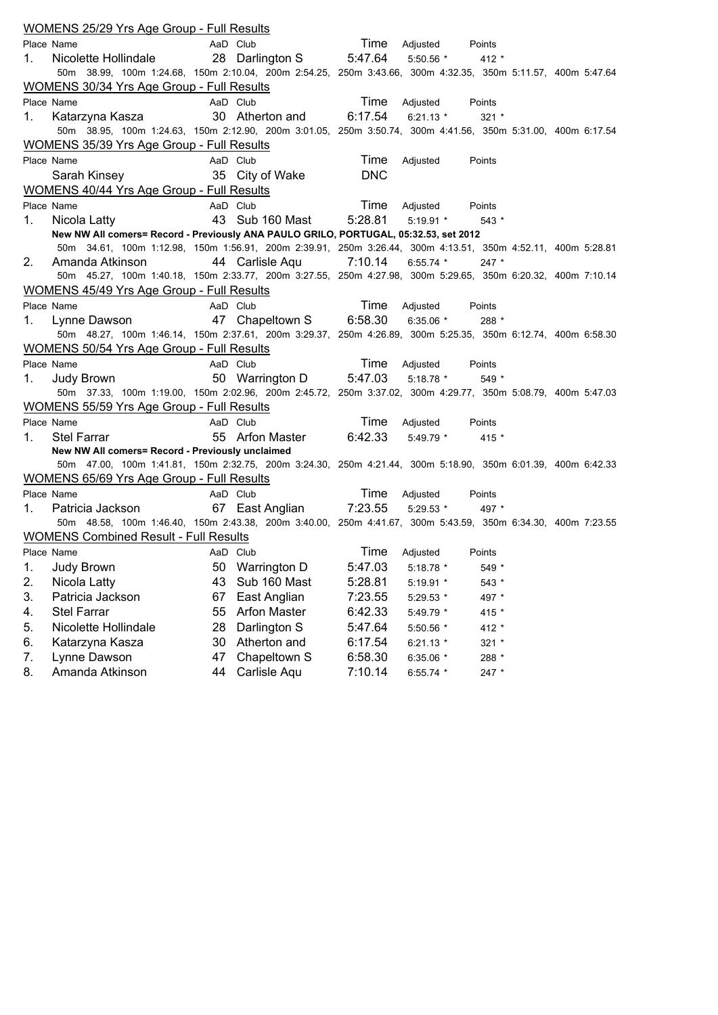|            | WOMENS 25/29 Yrs Age Group - Full Results                                                                   |    |                         |            |             |         |  |
|------------|-------------------------------------------------------------------------------------------------------------|----|-------------------------|------------|-------------|---------|--|
| Place Name |                                                                                                             |    | AaD Club                | Time       | Adjusted    | Points  |  |
| 1.         | Nicolette Hollindale                                                                                        |    | 28 Darlington S 5:47.64 |            | $5:50.56$ * | $412 *$ |  |
|            | 50m 38.99, 100m 1:24.68, 150m 2:10.04, 200m 2:54.25, 250m 3:43.66, 300m 4:32.35, 350m 5:11.57, 400m 5:47.64 |    |                         |            |             |         |  |
|            | <b>WOMENS 30/34 Yrs Age Group - Full Results</b>                                                            |    |                         |            |             |         |  |
| Place Name |                                                                                                             |    | AaD Club                | Time       | Adjusted    | Points  |  |
| 1.         | Katarzyna Kasza                                                                                             |    | 30 Atherton and 6:17.54 |            | $6:21.13*$  | $321 *$ |  |
|            | 50m 38.95, 100m 1:24.63, 150m 2:12.90, 200m 3:01.05, 250m 3:50.74, 300m 4:41.56, 350m 5:31.00, 400m 6:17.54 |    |                         |            |             |         |  |
|            | <b>WOMENS 35/39 Yrs Age Group - Full Results</b>                                                            |    |                         |            |             |         |  |
| Place Name |                                                                                                             |    | AaD Club                | Time       | Adjusted    | Points  |  |
|            | Sarah Kinsey                                                                                                |    | 35 City of Wake         | <b>DNC</b> |             |         |  |
|            | <b>WOMENS 40/44 Yrs Age Group - Full Results</b>                                                            |    |                         |            |             |         |  |
| Place Name |                                                                                                             |    | AaD Club                | Time       | Adjusted    | Points  |  |
| 1.         | Nicola Latty                                                                                                |    | 43 Sub 160 Mast         | 5:28.81    | $5:19.91$ * | $543*$  |  |
|            | New NW All comers= Record - Previously ANA PAULO GRILO, PORTUGAL, 05:32.53, set 2012                        |    |                         |            |             |         |  |
|            | 50m 34.61, 100m 1:12.98, 150m 1:56.91, 200m 2:39.91, 250m 3:26.44, 300m 4:13.51, 350m 4:52.11, 400m 5:28.81 |    |                         |            |             |         |  |
| 2.         | Amanda Atkinson                                                                                             |    | 44 Carlisle Aqu         | 7:10.14    | $6:55.74$ * | $247$ * |  |
|            | 50m 45.27, 100m 1:40.18, 150m 2:33.77, 200m 3:27.55, 250m 4:27.98, 300m 5:29.65, 350m 6:20.32, 400m 7:10.14 |    |                         |            |             |         |  |
|            | <b>WOMENS 45/49 Yrs Age Group - Full Results</b>                                                            |    |                         |            |             |         |  |
| Place Name |                                                                                                             |    | AaD Club                | Time       | Adjusted    | Points  |  |
| 1.         | Lynne Dawson                                                                                                |    | 47 Chapeltown S         | 6:58.30    | $6:35.06$ * | 288 *   |  |
|            | 50m 48.27, 100m 1:46.14, 150m 2:37.61, 200m 3:29.37, 250m 4:26.89, 300m 5:25.35, 350m 6:12.74, 400m 6:58.30 |    |                         |            |             |         |  |
|            | WOMENS 50/54 Yrs Age Group - Full Results                                                                   |    |                         |            |             |         |  |
| Place Name |                                                                                                             |    | AaD Club                | Time       | Adjusted    | Points  |  |
| 1.         | Judy Brown                                                                                                  |    | 50 Warrington D 5:47.03 |            | 5:18.78 *   | 549 *   |  |
|            | 50m 37.33, 100m 1:19.00, 150m 2:02.96, 200m 2:45.72, 250m 3:37.02, 300m 4:29.77, 350m 5:08.79, 400m 5:47.03 |    |                         |            |             |         |  |
|            | <b>WOMENS 55/59 Yrs Age Group - Full Results</b>                                                            |    |                         |            |             |         |  |
| Place Name |                                                                                                             |    | AaD Club                | Time       | Adjusted    | Points  |  |
| 1.         | <b>Stel Farrar</b>                                                                                          |    | 55 Arfon Master         | 6:42.33    | $5:49.79$ * | $415 *$ |  |
|            | New NW All comers= Record - Previously unclaimed                                                            |    |                         |            |             |         |  |
|            | 50m 47.00, 100m 1:41.81, 150m 2:32.75, 200m 3:24.30, 250m 4:21.44, 300m 5:18.90, 350m 6:01.39, 400m 6:42.33 |    |                         |            |             |         |  |
|            | <b>WOMENS 65/69 Yrs Age Group - Full Results</b>                                                            |    |                         |            |             |         |  |
| Place Name |                                                                                                             |    | AaD Club                | Time       | Adjusted    | Points  |  |
| 1.         | Patricia Jackson                                                                                            |    | 67 East Anglian 7:23.55 |            | 5:29.53 *   | 497 *   |  |
|            | 50m 48.58, 100m 1:46.40, 150m 2:43.38, 200m 3:40.00, 250m 4:41.67, 300m 5:43.59, 350m 6:34.30, 400m 7:23.55 |    |                         |            |             |         |  |
|            | <b>WOMENS Combined Result - Full Results</b>                                                                |    |                         |            |             |         |  |
| Place Name |                                                                                                             |    | AaD Club                | Time       | Adjusted    | Points  |  |
| 1.         | Judy Brown                                                                                                  | 50 | Warrington D            | 5:47.03    | 5:18.78 *   | 549 *   |  |
| 2.         | Nicola Latty                                                                                                | 43 | Sub 160 Mast            | 5:28.81    | 5:19.91 *   | 543 *   |  |
| 3.         | Patricia Jackson                                                                                            | 67 | East Anglian            | 7:23.55    | 5:29.53 *   | 497 *   |  |
| 4.         | <b>Stel Farrar</b>                                                                                          | 55 | <b>Arfon Master</b>     | 6:42.33    | 5:49.79 *   | 415 *   |  |
| 5.         | Nicolette Hollindale                                                                                        | 28 | Darlington S            | 5:47.64    | 5:50.56 *   | 412 *   |  |
| 6.         | Katarzyna Kasza                                                                                             | 30 | Atherton and            | 6:17.54    | $6:21.13*$  | 321 *   |  |
| 7.         |                                                                                                             |    |                         |            |             |         |  |
|            | Lynne Dawson                                                                                                | 47 | Chapeltown S            | 6:58.30    | 6:35.06 *   | 288 *   |  |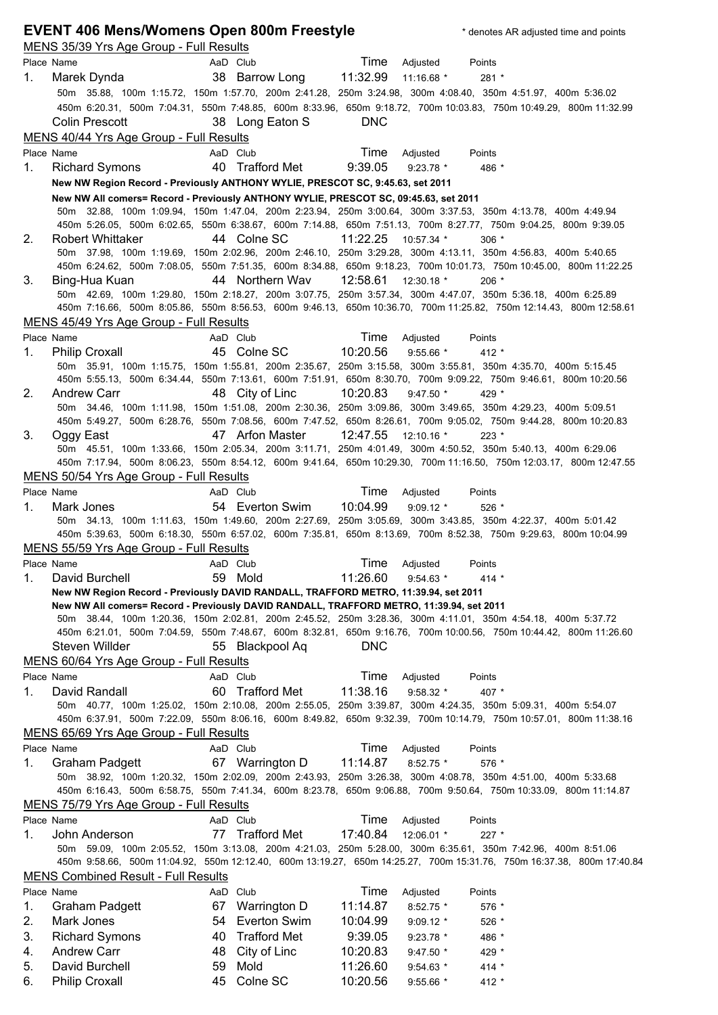|             | <b>EVENT 406 Mens/Womens Open 800m Freestyle</b><br>MENS 35/39 Yrs Age Group - Full Results |    |                     |            |              | * denotes AR adjusted time and points                                                                                                                                                                                                |
|-------------|---------------------------------------------------------------------------------------------|----|---------------------|------------|--------------|--------------------------------------------------------------------------------------------------------------------------------------------------------------------------------------------------------------------------------------|
|             | Place Name                                                                                  |    | AaD Club            | Time       | Adjusted     | Points                                                                                                                                                                                                                               |
| 1.          | Marek Dynda                                                                                 |    | 38 Barrow Long      | 11:32.99   | 11:16.68 *   | $281 *$                                                                                                                                                                                                                              |
|             |                                                                                             |    |                     |            |              | 50m 35.88, 100m 1:15.72, 150m 1:57.70, 200m 2:41.28, 250m 3:24.98, 300m 4:08.40, 350m 4:51.97, 400m 5:36.02                                                                                                                          |
|             |                                                                                             |    |                     |            |              | 450m 6:20.31, 500m 7:04.31, 550m 7:48.85, 600m 8:33.96, 650m 9:18.72, 700m 10:03.83, 750m 10:49.29, 800m 11:32.99                                                                                                                    |
|             | Colin Prescott                                                                              |    | 38 Long Eaton S     | <b>DNC</b> |              |                                                                                                                                                                                                                                      |
|             | MENS 40/44 Yrs Age Group - Full Results                                                     |    |                     |            |              |                                                                                                                                                                                                                                      |
|             | Place Name                                                                                  |    | AaD Club            | Time       | Adjusted     | Points                                                                                                                                                                                                                               |
| $1_{\cdot}$ | <b>Richard Symons</b>                                                                       |    | 40 Trafford Met     | 9:39.05    | $9:23.78$ *  | 486 *                                                                                                                                                                                                                                |
|             | New NW Region Record - Previously ANTHONY WYLIE, PRESCOT SC, 9:45.63, set 2011              |    |                     |            |              |                                                                                                                                                                                                                                      |
|             | New NW All comers= Record - Previously ANTHONY WYLIE, PRESCOT SC, 09:45.63, set 2011        |    |                     |            |              |                                                                                                                                                                                                                                      |
|             |                                                                                             |    |                     |            |              | 50m 32.88, 100m 1:09.94, 150m 1:47.04, 200m 2:23.94, 250m 3:00.64, 300m 3:37.53, 350m 4:13.78, 400m 4:49.94                                                                                                                          |
|             |                                                                                             |    |                     |            |              | 450m 5:26.05, 500m 6:02.65, 550m 6:38.67, 600m 7:14.88, 650m 7:51.13, 700m 8:27.77, 750m 9:04.25, 800m 9:39.05                                                                                                                       |
| 2.          | <b>Robert Whittaker</b>                                                                     |    | 44 Colne SC         | 11:22.25   | 10:57.34 *   | $306*$                                                                                                                                                                                                                               |
|             |                                                                                             |    |                     |            |              | 50m 37.98, 100m 1:19.69, 150m 2:02.96, 200m 2:46.10, 250m 3:29.28, 300m 4:13.11, 350m 4:56.83, 400m 5:40.65<br>450m 6:24.62, 500m 7:08.05, 550m 7:51.35, 600m 8:34.88, 650m 9:18.23, 700m 10:01.73, 750m 10:45.00, 800m 11:22.25     |
| 3.          | Bing-Hua Kuan                                                                               |    | 44 Northern Wav     | 12:58.61   | 12:30.18 *   | $206*$                                                                                                                                                                                                                               |
|             |                                                                                             |    |                     |            |              | 50m 42.69, 100m 1:29.80, 150m 2:18.27, 200m 3:07.75, 250m 3:57.34, 300m 4:47.07, 350m 5:36.18, 400m 6:25.89                                                                                                                          |
|             |                                                                                             |    |                     |            |              | 450m 7:16.66, 500m 8:05.86, 550m 8:56.53, 600m 9:46.13, 650m 10:36.70, 700m 11:25.82, 750m 12:14.43, 800m 12:58.61                                                                                                                   |
|             | MENS 45/49 Yrs Age Group - Full Results                                                     |    |                     |            |              |                                                                                                                                                                                                                                      |
|             | Place Name                                                                                  |    | AaD Club            | Time       | Adjusted     | Points                                                                                                                                                                                                                               |
| 1.          | <b>Philip Croxall</b>                                                                       |    | 45 Colne SC         | 10:20.56   | $9:55.66$ *  | $412 *$                                                                                                                                                                                                                              |
|             |                                                                                             |    |                     |            |              | 50m 35.91, 100m 1:15.75, 150m 1:55.81, 200m 2:35.67, 250m 3:15.58, 300m 3:55.81, 350m 4:35.70, 400m 5:15.45                                                                                                                          |
|             |                                                                                             |    |                     |            |              | 450m 5:55.13, 500m 6:34.44, 550m 7:13.61, 600m 7:51.91, 650m 8:30.70, 700m 9:09.22, 750m 9:46.61, 800m 10:20.56                                                                                                                      |
| 2.          | <b>Andrew Carr</b>                                                                          |    | 48 City of Linc     | 10:20.83   | $9:47.50*$   | 429 *                                                                                                                                                                                                                                |
|             |                                                                                             |    |                     |            |              | 50m 34.46, 100m 1:11.98, 150m 1:51.08, 200m 2:30.36, 250m 3:09.86, 300m 3:49.65, 350m 4:29.23, 400m 5:09.51                                                                                                                          |
|             |                                                                                             |    |                     |            |              | 450m 5:49.27, 500m 6:28.76, 550m 7:08.56, 600m 7:47.52, 650m 8:26.61, 700m 9:05.02, 750m 9:44.28, 800m 10:20.83                                                                                                                      |
| 3.          | Oggy East                                                                                   |    | 47 Arfon Master     | 12:47.55   | $12:10.16$ * | $223 *$                                                                                                                                                                                                                              |
|             |                                                                                             |    |                     |            |              | 50m 45.51, 100m 1:33.66, 150m 2:05.34, 200m 3:11.71, 250m 4:01.49, 300m 4:50.52, 350m 5:40.13, 400m 6:29.06<br>450m 7:17.94, 500m 8:06.23, 550m 8:54.12, 600m 9:41.64, 650m 10:29.30, 700m 11:16.50, 750m 12:03.17, 800m 12:47.55    |
|             | MENS 50/54 Yrs Age Group - Full Results                                                     |    |                     |            |              |                                                                                                                                                                                                                                      |
|             | Place Name                                                                                  |    | AaD Club            | Time       | Adjusted     | Points                                                                                                                                                                                                                               |
| 1.          | Mark Jones                                                                                  |    | 54 Everton Swim     | 10:04.99   | $9:09.12$ *  | $526*$                                                                                                                                                                                                                               |
|             |                                                                                             |    |                     |            |              | 50m 34.13, 100m 1:11.63, 150m 1:49.60, 200m 2:27.69, 250m 3:05.69, 300m 3:43.85, 350m 4:22.37, 400m 5:01.42                                                                                                                          |
|             |                                                                                             |    |                     |            |              | 450m 5:39.63, 500m 6:18.30, 550m 6:57.02, 600m 7:35.81, 650m 8:13.69, 700m 8:52.38, 750m 9:29.63, 800m 10:04.99                                                                                                                      |
|             | MENS 55/59 Yrs Age Group - Full Results                                                     |    |                     |            |              |                                                                                                                                                                                                                                      |
|             | Place Name                                                                                  |    | AaD Club            | Time       | Adjusted     | Points                                                                                                                                                                                                                               |
| 1.          | David Burchell                                                                              | 59 | Mold                | 11:26.60   | $9:54.63*$   | $414 *$                                                                                                                                                                                                                              |
|             | New NW Region Record - Previously DAVID RANDALL, TRAFFORD METRO, 11:39.94, set 2011         |    |                     |            |              |                                                                                                                                                                                                                                      |
|             | New NW All comers= Record - Previously DAVID RANDALL, TRAFFORD METRO, 11:39.94, set 2011    |    |                     |            |              |                                                                                                                                                                                                                                      |
|             |                                                                                             |    |                     |            |              | 50m 38.44, 100m 1:20.36, 150m 2:02.81, 200m 2:45.52, 250m 3:28.36, 300m 4:11.01, 350m 4:54.18, 400m 5:37.72<br>450m 6:21.01, 500m 7:04.59, 550m 7:48.67, 600m 8:32.81, 650m 9:16.76, 700m 10:00.56, 750m 10:44.42, 800m 11:26.60     |
|             | Steven Willder                                                                              |    | 55 Blackpool Aq     | <b>DNC</b> |              |                                                                                                                                                                                                                                      |
|             | MENS 60/64 Yrs Age Group - Full Results                                                     |    |                     |            |              |                                                                                                                                                                                                                                      |
|             | Place Name                                                                                  |    | AaD Club            | Time       | Adjusted     | Points                                                                                                                                                                                                                               |
| 1.          | David Randall                                                                               | 60 | <b>Trafford Met</b> | 11:38.16   | $9:58.32*$   | 407 *                                                                                                                                                                                                                                |
|             |                                                                                             |    |                     |            |              | 50m 40.77, 100m 1:25.02, 150m 2:10.08, 200m 2:55.05, 250m 3:39.87, 300m 4:24.35, 350m 5:09.31, 400m 5:54.07                                                                                                                          |
|             |                                                                                             |    |                     |            |              | 450m 6:37.91, 500m 7:22.09, 550m 8:06.16, 600m 8:49.82, 650m 9:32.39, 700m 10:14.79, 750m 10:57.01, 800m 11:38.16                                                                                                                    |
|             | MENS 65/69 Yrs Age Group - Full Results                                                     |    |                     |            |              |                                                                                                                                                                                                                                      |
|             | Place Name                                                                                  |    | AaD Club            | Time       | Adjusted     | Points                                                                                                                                                                                                                               |
| 1.          | <b>Graham Padgett</b>                                                                       |    | 67 Warrington D     | 11:14.87   | $8:52.75$ *  | 576 *                                                                                                                                                                                                                                |
|             | 50m                                                                                         |    |                     |            |              | 38.92, 100m 1:20.32, 150m 2:02.09, 200m 2:43.93, 250m 3:26.38, 300m 4:08.78, 350m 4:51.00, 400m 5:33.68                                                                                                                              |
|             |                                                                                             |    |                     |            |              | 450m 6:16.43, 500m 6:58.75, 550m 7:41.34, 600m 8:23.78, 650m 9:06.88, 700m 9:50.64, 750m 10:33.09, 800m 11:14.87                                                                                                                     |
|             | MENS 75/79 Yrs Age Group - Full Results                                                     |    |                     |            |              |                                                                                                                                                                                                                                      |
|             | Place Name                                                                                  |    | AaD Club            | Time       | Adjusted     | Points                                                                                                                                                                                                                               |
| 1.          | John Anderson                                                                               | 77 | Trafford Met        | 17:40.84   | 12:06.01 *   | $227 *$                                                                                                                                                                                                                              |
|             |                                                                                             |    |                     |            |              | 50m 59.09, 100m 2:05.52, 150m 3:13.08, 200m 4:21.03, 250m 5:28.00, 300m 6:35.61, 350m 7:42.96, 400m 8:51.06<br>450m 9:58.66, 500m 11:04.92, 550m 12:12.40, 600m 13:19.27, 650m 14:25.27, 700m 15:31.76, 750m 16:37.38, 800m 17:40.84 |
|             | <b>MENS Combined Result - Full Results</b>                                                  |    |                     |            |              |                                                                                                                                                                                                                                      |
|             | Place Name                                                                                  |    | AaD Club            | Time       | Adjusted     | Points                                                                                                                                                                                                                               |
| 1.          | <b>Graham Padgett</b>                                                                       | 67 | Warrington D        | 11:14.87   | 8:52.75 *    | 576 *                                                                                                                                                                                                                                |
| 2.          | Mark Jones                                                                                  | 54 | Everton Swim        | 10:04.99   | $9:09.12$ *  | 526 *                                                                                                                                                                                                                                |
| 3.          | <b>Richard Symons</b>                                                                       | 40 | <b>Trafford Met</b> | 9:39.05    | 9:23.78 *    | 486 *                                                                                                                                                                                                                                |
| 4.          | <b>Andrew Carr</b>                                                                          | 48 | City of Linc        | 10:20.83   | 9:47.50 *    | 429 *                                                                                                                                                                                                                                |
| 5.          | David Burchell                                                                              | 59 | Mold                | 11:26.60   | 9:54.63 *    | $414 *$                                                                                                                                                                                                                              |
| 6.          | <b>Philip Croxall</b>                                                                       | 45 | Colne SC            | 10:20.56   | $9:55.66*$   | $412 *$                                                                                                                                                                                                                              |